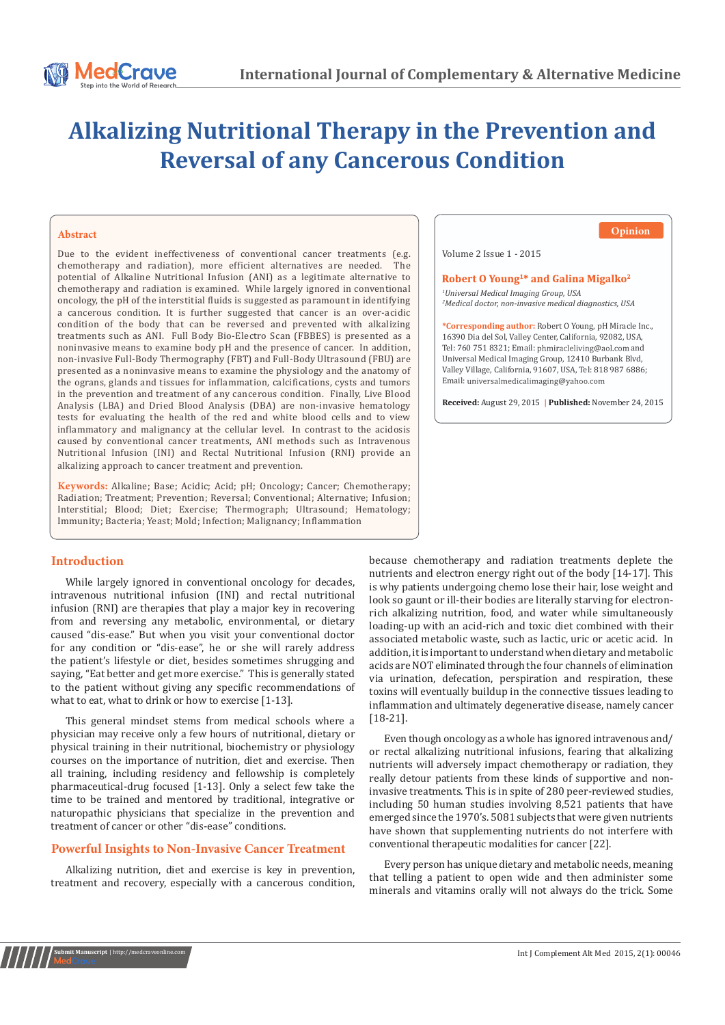# **Alkalizing Nutritional Therapy in the Prevention and Reversal of any Cancerous Condition**

#### **Abstract**

Due to the evident ineffectiveness of conventional cancer treatments (e.g. chemotherapy and radiation), more efficient alternatives are needed. The chemotherapy and radiation), more efficient alternatives are needed. potential of Alkaline Nutritional Infusion (ANI) as a legitimate alternative to chemotherapy and radiation is examined. While largely ignored in conventional oncology, the pH of the interstitial fluids is suggested as paramount in identifying a cancerous condition. It is further suggested that cancer is an over-acidic condition of the body that can be reversed and prevented with alkalizing treatments such as ANI. Full Body Bio-Electro Scan (FBBES) is presented as a noninvasive means to examine body pH and the presence of cancer. In addition, non-invasive Full-Body Thermography (FBT) and Full-Body Ultrasound (FBU) are presented as a noninvasive means to examine the physiology and the anatomy of the ograns, glands and tissues for inflammation, calcifications, cysts and tumors in the prevention and treatment of any cancerous condition. Finally, Live Blood Analysis (LBA) and Dried Blood Analysis (DBA) are non-invasive hematology tests for evaluating the health of the red and white blood cells and to view inflammatory and malignancy at the cellular level. In contrast to the acidosis caused by conventional cancer treatments, ANI methods such as Intravenous Nutritional Infusion (INI) and Rectal Nutritional Infusion (RNI) provide an alkalizing approach to cancer treatment and prevention.

**Keywords:** Alkaline; Base; Acidic; Acid; pH; Oncology; Cancer; Chemotherapy; Radiation; Treatment; Prevention; Reversal; Conventional; Alternative; Infusion; Interstitial; Blood; Diet; Exercise; Thermograph; Ultrasound; Hematology; Immunity; Bacteria; Yeast; Mold; Infection; Malignancy; Inflammation

#### **Introduction**

While largely ignored in conventional oncology for decades, intravenous nutritional infusion (INI) and rectal nutritional infusion (RNI) are therapies that play a major key in recovering from and reversing any metabolic, environmental, or dietary caused "dis-ease." But when you visit your conventional doctor for any condition or "dis-ease", he or she will rarely address the patient's lifestyle or diet, besides sometimes shrugging and saying, "Eat better and get more exercise." This is generally stated to the patient without giving any specific recommendations of what to eat, what to drink or how to exercise [1-13].

This general mindset stems from medical schools where a physician may receive only a few hours of nutritional, dietary or physical training in their nutritional, biochemistry or physiology courses on the importance of nutrition, diet and exercise. Then all training, including residency and fellowship is completely pharmaceutical-drug focused [1-13]. Only a select few take the time to be trained and mentored by traditional, integrative or naturopathic physicians that specialize in the prevention and treatment of cancer or other "dis-ease" conditions.

#### **Powerful Insights to Non-Invasive Cancer Treatment**

Alkalizing nutrition, diet and exercise is key in prevention, treatment and recovery, especially with a cancerous condition,

## **Opinion**

Volume 2 Issue 1 - 2015

#### Robert O Young<sup>1\*</sup> and Galina Migalko<sup>2</sup>

*1 Universal Medical Imaging Group, USA 2 Medical doctor, non-invasive medical diagnostics, USA*

**\*Corresponding author:** Robert O Young, pH Miracle Inc., 16390 Dia del Sol, Valley Center, California, 92082, USA, Tel: 760 751 8321; Email: phmiracleliving@aol.com and Universal Medical Imaging Group, 12410 Burbank Blvd, Valley Village, California, 91607, USA, Tel: 818 987 6886; Email: universalmedicalimaging@yahoo.com

**Received:** August 29, 2015 **| Published:** November 24, 2015

because chemotherapy and radiation treatments deplete the nutrients and electron energy right out of the body [14-17]. This is why patients undergoing chemo lose their hair, lose weight and look so gaunt or ill-their bodies are literally starving for electronrich alkalizing nutrition, food, and water while simultaneously loading-up with an acid-rich and toxic diet combined with their associated metabolic waste, such as lactic, uric or acetic acid. In addition, it is important to understand when dietary and metabolic acids are NOT eliminated through the four channels of elimination via urination, defecation, perspiration and respiration, these toxins will eventually buildup in the connective tissues leading to inflammation and ultimately degenerative disease, namely cancer [18-21].

Even though oncology as a whole has ignored intravenous and/ or rectal alkalizing nutritional infusions, fearing that alkalizing nutrients will adversely impact chemotherapy or radiation, they really detour patients from these kinds of supportive and noninvasive treatments. This is in spite of 280 peer-reviewed studies, including 50 human studies involving 8,521 patients that have emerged since the 1970's. 5081 subjects that were given nutrients have shown that supplementing nutrients do not interfere with conventional therapeutic modalities for cancer [22].

Every person has unique dietary and metabolic needs, meaning that telling a patient to open wide and then administer some minerals and vitamins orally will not always do the trick. Some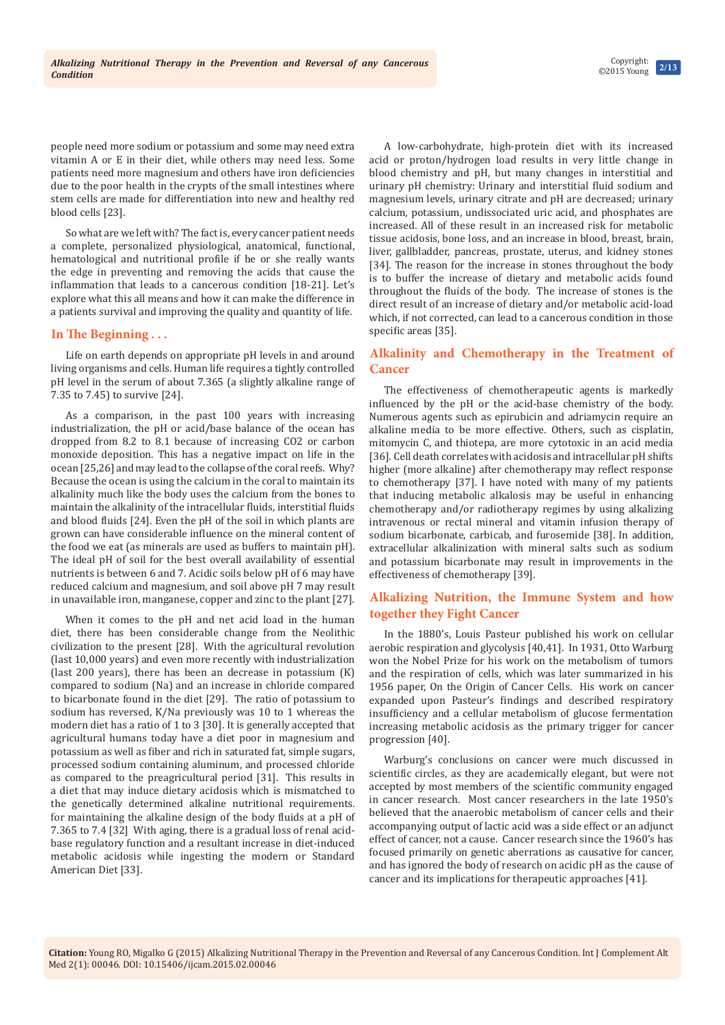**2/13** Copyright: ©2015 Young

people need more sodium or potassium and some may need extra vitamin A or E in their diet, while others may need less. Some patients need more magnesium and others have iron deficiencies due to the poor health in the crypts of the small intestines where stem cells are made for differentiation into new and healthy red blood cells [23].

So what are we left with? The fact is, every cancer patient needs a complete, personalized physiological, anatomical, functional, hematological and nutritional profile if he or she really wants the edge in preventing and removing the acids that cause the inflammation that leads to a cancerous condition [18-21]. Let's explore what this all means and how it can make the difference in a patients survival and improving the quality and quantity of life.

### **In The Beginning . . .**

Life on earth depends on appropriate pH levels in and around living organisms and cells. Human life requires a tightly controlled pH level in the serum of about 7.365 (a slightly alkaline range of 7.35 to 7.45) to survive [24].

As a comparison, in the past 100 years with increasing industrialization, the pH or acid/base balance of the ocean has dropped from 8.2 to 8.1 because of increasing CO2 or carbon monoxide deposition. This has a negative impact on life in the ocean [25,26] and may lead to the collapse of the coral reefs. Why? Because the ocean is using the calcium in the coral to maintain its alkalinity much like the body uses the calcium from the bones to maintain the alkalinity of the intracellular fluids, interstitial fluids and blood fluids [24]. Even the pH of the soil in which plants are grown can have considerable influence on the mineral content of the food we eat (as minerals are used as buffers to maintain pH). The ideal pH of soil for the best overall availability of essential nutrients is between 6 and 7. Acidic soils below pH of 6 may have reduced calcium and magnesium, and soil above pH 7 may result in unavailable iron, manganese, copper and zinc to the plant [27].

When it comes to the pH and net acid load in the human diet, there has been considerable change from the Neolithic civilization to the present [28]. With the agricultural revolution (last 10,000 years) and even more recently with industrialization (last 200 years), there has been an decrease in potassium (K) compared to sodium (Na) and an increase in chloride compared to bicarbonate found in the diet [29]. The ratio of potassium to sodium has reversed, K/Na previously was 10 to 1 whereas the modern diet has a ratio of 1 to 3 [30]. It is generally accepted that agricultural humans today have a diet poor in magnesium and potassium as well as fiber and rich in saturated fat, simple sugars, processed sodium containing aluminum, and processed chloride as compared to the preagricultural period [31]. This results in a diet that may induce dietary acidosis which is mismatched to the genetically determined alkaline nutritional requirements. for maintaining the alkaline design of the body fluids at a pH of 7.365 to 7.4 [32] With aging, there is a gradual loss of renal acidbase regulatory function and a resultant increase in diet-induced metabolic acidosis while ingesting the modern or Standard American Diet [33].

A low-carbohydrate, high-protein diet with its increased acid or proton/hydrogen load results in very little change in blood chemistry and pH, but many changes in interstitial and urinary pH chemistry: Urinary and interstitial fluid sodium and magnesium levels, urinary citrate and pH are decreased; urinary calcium, potassium, undissociated uric acid, and phosphates are increased. All of these result in an increased risk for metabolic tissue acidosis, bone loss, and an increase in blood, breast, brain, liver, gallbladder, pancreas, prostate, uterus, and kidney stones [34]. The reason for the increase in stones throughout the body is to buffer the increase of dietary and metabolic acids found throughout the fluids of the body. The increase of stones is the direct result of an increase of dietary and/or metabolic acid-load which, if not corrected, can lead to a cancerous condition in those specific areas [35].

# **Alkalinity and Chemotherapy in the Treatment of Cancer**

The effectiveness of chemotherapeutic agents is markedly influenced by the pH or the acid-base chemistry of the body. Numerous agents such as epirubicin and adriamycin require an alkaline media to be more effective. Others, such as cisplatin, mitomycin C, and thiotepa, are more cytotoxic in an acid media [36]. Cell death correlates with acidosis and intracellular pH shifts higher (more alkaline) after chemotherapy may reflect response to chemotherapy [37]. I have noted with many of my patients that inducing metabolic alkalosis may be useful in enhancing chemotherapy and/or radiotherapy regimes by using alkalizing intravenous or rectal mineral and vitamin infusion therapy of sodium bicarbonate, carbicab, and furosemide [38]. In addition, extracellular alkalinization with mineral salts such as sodium and potassium bicarbonate may result in improvements in the effectiveness of chemotherapy [39].

## **Alkalizing Nutrition, the Immune System and how together they Fight Cancer**

In the 1880's, Louis Pasteur published his work on cellular aerobic respiration and glycolysis [40,41]. In 1931, Otto Warburg won the Nobel Prize for his work on the metabolism of tumors and the respiration of cells, which was later summarized in his 1956 paper, On the Origin of Cancer Cells. His work on cancer expanded upon Pasteur's findings and described respiratory insufficiency and a cellular metabolism of glucose fermentation increasing metabolic acidosis as the primary trigger for cancer progression [40].

Warburg's conclusions on cancer were much discussed in scientific circles, as they are academically elegant, but were not accepted by most members of the scientific community engaged in cancer research. Most cancer researchers in the late 1950's believed that the anaerobic metabolism of cancer cells and their accompanying output of lactic acid was a side effect or an adjunct effect of cancer, not a cause. Cancer research since the 1960's has focused primarily on genetic aberrations as causative for cancer, and has ignored the body of research on acidic pH as the cause of cancer and its implications for therapeutic approaches [41].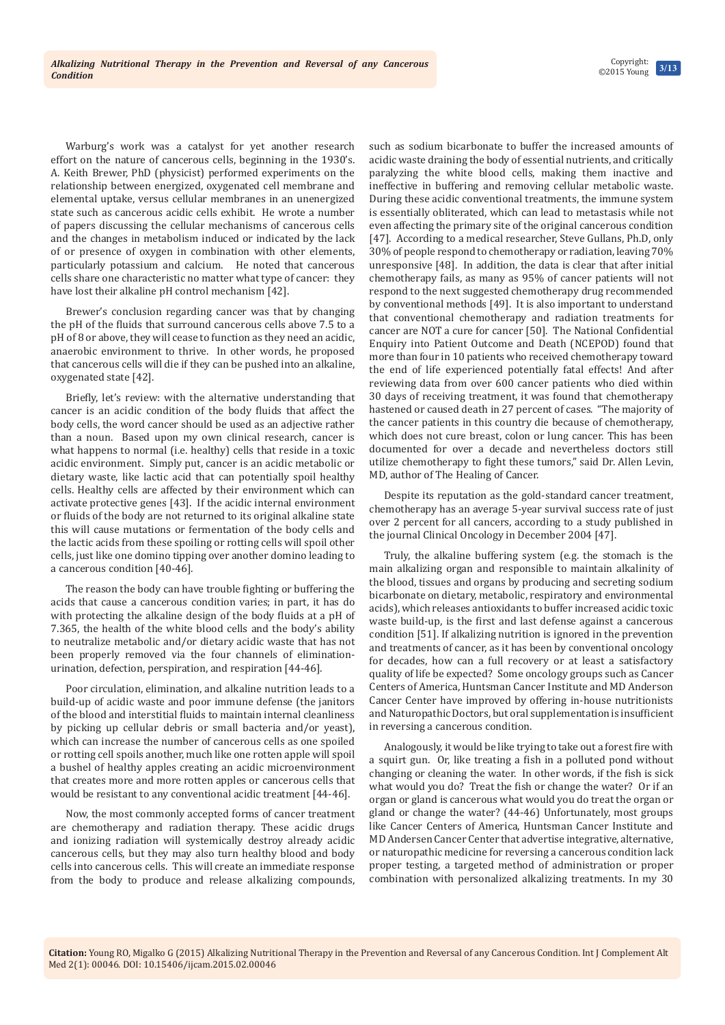Warburg's work was a catalyst for yet another research effort on the nature of cancerous cells, beginning in the 1930's. A. Keith Brewer, PhD (physicist) performed experiments on the relationship between energized, oxygenated cell membrane and elemental uptake, versus cellular membranes in an unenergized state such as cancerous acidic cells exhibit. He wrote a number of papers discussing the cellular mechanisms of cancerous cells and the changes in metabolism induced or indicated by the lack of or presence of oxygen in combination with other elements, particularly potassium and calcium. He noted that cancerous cells share one characteristic no matter what type of cancer: they have lost their alkaline pH control mechanism [42].

Brewer's conclusion regarding cancer was that by changing the pH of the fluids that surround cancerous cells above 7.5 to a pH of 8 or above, they will cease to function as they need an acidic, anaerobic environment to thrive. In other words, he proposed that cancerous cells will die if they can be pushed into an alkaline, oxygenated state [42].

Briefly, let's review: with the alternative understanding that cancer is an acidic condition of the body fluids that affect the body cells, the word cancer should be used as an adjective rather than a noun. Based upon my own clinical research, cancer is what happens to normal (i.e. healthy) cells that reside in a toxic acidic environment. Simply put, cancer is an acidic metabolic or dietary waste, like lactic acid that can potentially spoil healthy cells. Healthy cells are affected by their environment which can activate protective genes [43]. If the acidic internal environment or fluids of the body are not returned to its original alkaline state this will cause mutations or fermentation of the body cells and the lactic acids from these spoiling or rotting cells will spoil other cells, just like one domino tipping over another domino leading to a cancerous condition [40-46].

The reason the body can have trouble fighting or buffering the acids that cause a cancerous condition varies; in part, it has do with protecting the alkaline design of the body fluids at a pH of 7.365, the health of the white blood cells and the body's ability to neutralize metabolic and/or dietary acidic waste that has not been properly removed via the four channels of eliminationurination, defection, perspiration, and respiration [44-46].

Poor circulation, elimination, and alkaline nutrition leads to a build-up of acidic waste and poor immune defense (the janitors of the blood and interstitial fluids to maintain internal cleanliness by picking up cellular debris or small bacteria and/or yeast), which can increase the number of cancerous cells as one spoiled or rotting cell spoils another, much like one rotten apple will spoil a bushel of healthy apples creating an acidic microenvironment that creates more and more rotten apples or cancerous cells that would be resistant to any conventional acidic treatment [44-46].

Now, the most commonly accepted forms of cancer treatment are chemotherapy and radiation therapy. These acidic drugs and ionizing radiation will systemically destroy already acidic cancerous cells, but they may also turn healthy blood and body cells into cancerous cells. This will create an immediate response from the body to produce and release alkalizing compounds,

such as sodium bicarbonate to buffer the increased amounts of acidic waste draining the body of essential nutrients, and critically paralyzing the white blood cells, making them inactive and ineffective in buffering and removing cellular metabolic waste. During these acidic conventional treatments, the immune system is essentially obliterated, which can lead to metastasis while not even affecting the primary site of the original cancerous condition [47]. According to a medical researcher, Steve Gullans, Ph.D, only 30% of people respond to chemotherapy or radiation, leaving 70% unresponsive [48]. In addition, the data is clear that after initial chemotherapy fails, as many as 95% of cancer patients will not respond to the next suggested chemotherapy drug recommended by conventional methods [49]. It is also important to understand that conventional chemotherapy and radiation treatments for cancer are NOT a cure for cancer [50]. The National Confidential Enquiry into Patient Outcome and Death (NCEPOD) found that more than four in 10 patients who received chemotherapy toward the end of life experienced potentially fatal effects! And after reviewing data from over 600 cancer patients who died within 30 days of receiving treatment, it was found that chemotherapy hastened or caused death in 27 percent of cases. "The majority of the cancer patients in this country die because of chemotherapy, which does not cure breast, colon or lung cancer. This has been documented for over a decade and nevertheless doctors still utilize chemotherapy to fight these tumors," said Dr. Allen Levin, MD, author of The Healing of Cancer.

Despite its reputation as the gold-standard cancer treatment, chemotherapy has an average 5-year survival success rate of just over 2 percent for all cancers, according to a study published in the journal Clinical Oncology in December 2004 [47].

Truly, the alkaline buffering system (e.g. the stomach is the main alkalizing organ and responsible to maintain alkalinity of the blood, tissues and organs by producing and secreting sodium bicarbonate on dietary, metabolic, respiratory and environmental acids), which releases antioxidants to buffer increased acidic toxic waste build-up, is the first and last defense against a cancerous condition [51]. If alkalizing nutrition is ignored in the prevention and treatments of cancer, as it has been by conventional oncology for decades, how can a full recovery or at least a satisfactory quality of life be expected? Some oncology groups such as Cancer Centers of America, Huntsman Cancer Institute and MD Anderson Cancer Center have improved by offering in-house nutritionists and Naturopathic Doctors, but oral supplementation is insufficient in reversing a cancerous condition.

Analogously, it would be like trying to take out a forest fire with a squirt gun. Or, like treating a fish in a polluted pond without changing or cleaning the water. In other words, if the fish is sick what would you do? Treat the fish or change the water? Or if an organ or gland is cancerous what would you do treat the organ or gland or change the water? (44-46) Unfortunately, most groups like Cancer Centers of America, Huntsman Cancer Institute and MD Andersen Cancer Center that advertise integrative, alternative, or naturopathic medicine for reversing a cancerous condition lack proper testing, a targeted method of administration or proper combination with personalized alkalizing treatments. In my 30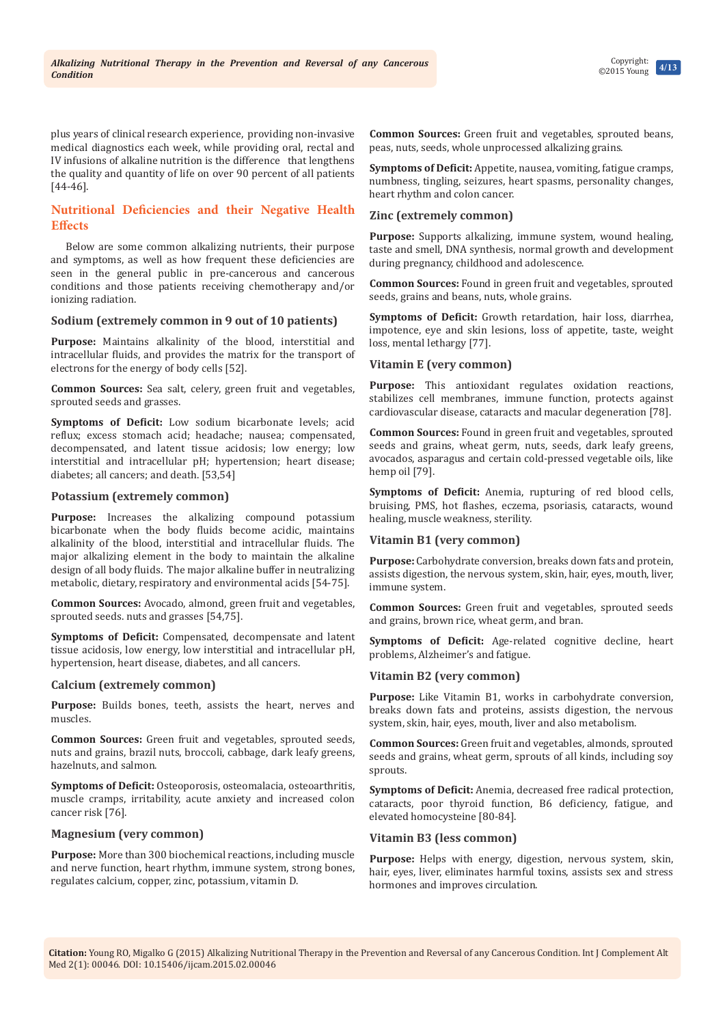plus years of clinical research experience, providing non-invasive medical diagnostics each week, while providing oral, rectal and IV infusions of alkaline nutrition is the difference that lengthens the quality and quantity of life on over 90 percent of all patients [44-46].

## **Nutritional Deficiencies and their Negative Health Effects**

Below are some common alkalizing nutrients, their purpose and symptoms, as well as how frequent these deficiencies are seen in the general public in pre-cancerous and cancerous conditions and those patients receiving chemotherapy and/or ionizing radiation.

#### **Sodium (extremely common in 9 out of 10 patients)**

**Purpose:** Maintains alkalinity of the blood, interstitial and intracellular fluids, and provides the matrix for the transport of electrons for the energy of body cells [52].

**Common Sources:** Sea salt, celery, green fruit and vegetables, sprouted seeds and grasses.

**Symptoms of Deficit:** Low sodium bicarbonate levels; acid reflux; excess stomach acid; headache; nausea; compensated, decompensated, and latent tissue acidosis; low energy; low interstitial and intracellular pH; hypertension; heart disease; diabetes; all cancers; and death. [53,54]

### **Potassium (extremely common)**

Purpose: Increases the alkalizing compound potassium bicarbonate when the body fluids become acidic, maintains alkalinity of the blood, interstitial and intracellular fluids. The major alkalizing element in the body to maintain the alkaline design of all body fluids. The major alkaline buffer in neutralizing metabolic, dietary, respiratory and environmental acids [54-75].

**Common Sources:** Avocado, almond, green fruit and vegetables, sprouted seeds. nuts and grasses [54,75].

**Symptoms of Deficit:** Compensated, decompensate and latent tissue acidosis, low energy, low interstitial and intracellular pH, hypertension, heart disease, diabetes, and all cancers.

#### **Calcium (extremely common)**

**Purpose:** Builds bones, teeth, assists the heart, nerves and muscles.

**Common Sources:** Green fruit and vegetables, sprouted seeds, nuts and grains, brazil nuts, broccoli, cabbage, dark leafy greens, hazelnuts, and salmon.

**Symptoms of Deficit:** Osteoporosis, osteomalacia, osteoarthritis, muscle cramps, irritability, acute anxiety and increased colon cancer risk [76].

# **Magnesium (very common)**

**Purpose:** More than 300 biochemical reactions, including muscle and nerve function, heart rhythm, immune system, strong bones, regulates calcium, copper, zinc, potassium, vitamin D.

**Common Sources:** Green fruit and vegetables, sprouted beans, peas, nuts, seeds, whole unprocessed alkalizing grains.

**Symptoms of Deficit:** Appetite, nausea, vomiting, fatigue cramps, numbness, tingling, seizures, heart spasms, personality changes, heart rhythm and colon cancer.

## **Zinc (extremely common)**

**Purpose:** Supports alkalizing, immune system, wound healing, taste and smell, DNA synthesis, normal growth and development during pregnancy, childhood and adolescence.

**Common Sources:** Found in green fruit and vegetables, sprouted seeds, grains and beans, nuts, whole grains.

**Symptoms of Deficit:** Growth retardation, hair loss, diarrhea, impotence, eye and skin lesions, loss of appetite, taste, weight loss, mental lethargy [77].

### **Vitamin E (very common)**

**Purpose:** This antioxidant regulates oxidation reactions, stabilizes cell membranes, immune function, protects against cardiovascular disease, cataracts and macular degeneration [78].

**Common Sources:** Found in green fruit and vegetables, sprouted seeds and grains, wheat germ, nuts, seeds, dark leafy greens, avocados, asparagus and certain cold-pressed vegetable oils, like hemp oil [79].

**Symptoms of Deficit:** Anemia, rupturing of red blood cells, bruising, PMS, hot flashes, eczema, psoriasis, cataracts, wound healing, muscle weakness, sterility.

## **Vitamin B1 (very common)**

**Purpose:** Carbohydrate conversion, breaks down fats and protein, assists digestion, the nervous system, skin, hair, eyes, mouth, liver, immune system.

**Common Sources:** Green fruit and vegetables, sprouted seeds and grains, brown rice, wheat germ, and bran.

**Symptoms of Deficit:** Age-related cognitive decline, heart problems, Alzheimer's and fatigue.

## **Vitamin B2 (very common)**

**Purpose:** Like Vitamin B1, works in carbohydrate conversion, breaks down fats and proteins, assists digestion, the nervous system, skin, hair, eyes, mouth, liver and also metabolism.

**Common Sources:** Green fruit and vegetables, almonds, sprouted seeds and grains, wheat germ, sprouts of all kinds, including soy sprouts.

**Symptoms of Deficit:** Anemia, decreased free radical protection, cataracts, poor thyroid function, B6 deficiency, fatigue, and elevated homocysteine [80-84].

#### **Vitamin B3 (less common)**

**Purpose:** Helps with energy, digestion, nervous system, skin, hair, eyes, liver, eliminates harmful toxins, assists sex and stress hormones and improves circulation.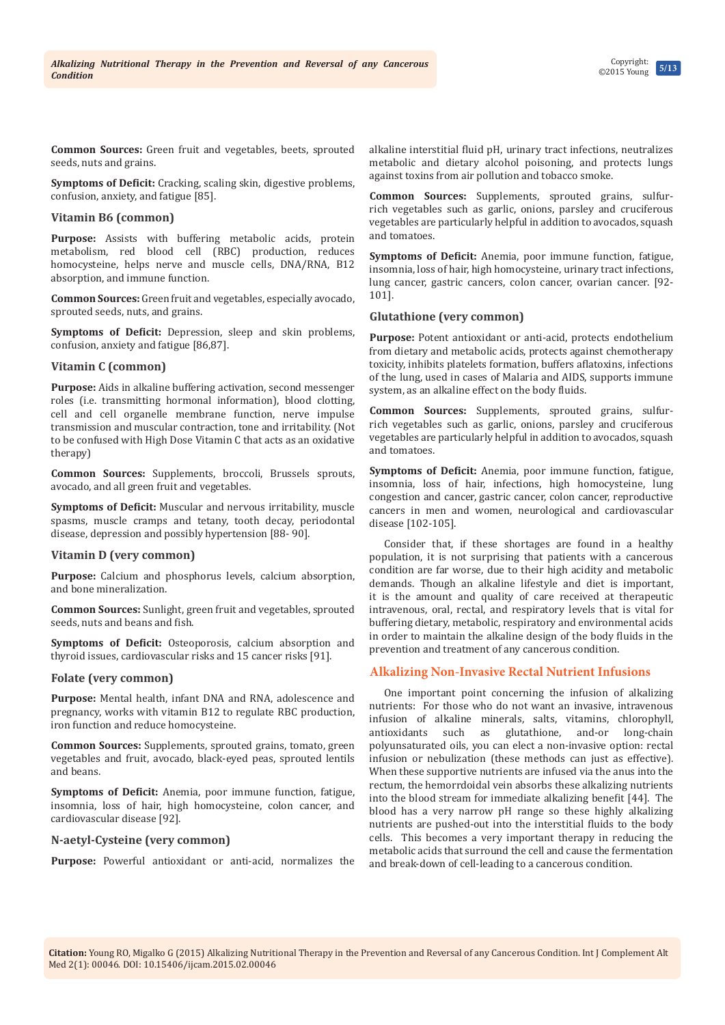**Common Sources:** Green fruit and vegetables, beets, sprouted seeds, nuts and grains.

**Symptoms of Deficit:** Cracking, scaling skin, digestive problems, confusion, anxiety, and fatigue [85].

#### **Vitamin B6 (common)**

**Purpose:** Assists with buffering metabolic acids, protein metabolism, red blood cell (RBC) production, reduces homocysteine, helps nerve and muscle cells, DNA/RNA, B12 absorption, and immune function.

**Common Sources:** Green fruit and vegetables, especially avocado, sprouted seeds, nuts, and grains.

**Symptoms of Deficit:** Depression, sleep and skin problems, confusion, anxiety and fatigue [86,87].

## **Vitamin C (common)**

**Purpose:** Aids in alkaline buffering activation, second messenger roles (i.e. transmitting hormonal information), blood clotting, cell and cell organelle membrane function, nerve impulse transmission and muscular contraction, tone and irritability. (Not to be confused with High Dose Vitamin C that acts as an oxidative therapy)

**Common Sources:** Supplements, broccoli, Brussels sprouts, avocado, and all green fruit and vegetables.

**Symptoms of Deficit:** Muscular and nervous irritability, muscle spasms, muscle cramps and tetany, tooth decay, periodontal disease, depression and possibly hypertension [88- 90].

#### **Vitamin D (very common)**

**Purpose:** Calcium and phosphorus levels, calcium absorption, and bone mineralization.

**Common Sources:** Sunlight, green fruit and vegetables, sprouted seeds, nuts and beans and fish.

**Symptoms of Deficit:** Osteoporosis, calcium absorption and thyroid issues, cardiovascular risks and 15 cancer risks [91].

#### **Folate (very common)**

**Purpose:** Mental health, infant DNA and RNA, adolescence and pregnancy, works with vitamin B12 to regulate RBC production, iron function and reduce homocysteine.

**Common Sources:** Supplements, sprouted grains, tomato, green vegetables and fruit, avocado, black-eyed peas, sprouted lentils and beans.

**Symptoms of Deficit:** Anemia, poor immune function, fatigue, insomnia, loss of hair, high homocysteine, colon cancer, and cardiovascular disease [92].

#### **N-aetyl-Cysteine (very common)**

**Purpose:** Powerful antioxidant or anti-acid, normalizes the

alkaline interstitial fluid pH, urinary tract infections, neutralizes metabolic and dietary alcohol poisoning, and protects lungs against toxins from air pollution and tobacco smoke.

**Common Sources:** Supplements, sprouted grains, sulfurrich vegetables such as garlic, onions, parsley and cruciferous vegetables are particularly helpful in addition to avocados, squash and tomatoes.

**Symptoms of Deficit:** Anemia, poor immune function, fatigue, insomnia, loss of hair, high homocysteine, urinary tract infections, lung cancer, gastric cancers, colon cancer, ovarian cancer. [92- 101].

### **Glutathione (very common)**

**Purpose:** Potent antioxidant or anti-acid, protects endothelium from dietary and metabolic acids, protects against chemotherapy toxicity, inhibits platelets formation, buffers aflatoxins, infections of the lung, used in cases of Malaria and AIDS, supports immune system, as an alkaline effect on the body fluids.

**Common Sources:** Supplements, sprouted grains, sulfurrich vegetables such as garlic, onions, parsley and cruciferous vegetables are particularly helpful in addition to avocados, squash and tomatoes.

**Symptoms of Deficit:** Anemia, poor immune function, fatigue, insomnia, loss of hair, infections, high homocysteine, lung congestion and cancer, gastric cancer, colon cancer, reproductive cancers in men and women, neurological and cardiovascular disease [102-105].

Consider that, if these shortages are found in a healthy population, it is not surprising that patients with a cancerous condition are far worse, due to their high acidity and metabolic demands. Though an alkaline lifestyle and diet is important, it is the amount and quality of care received at therapeutic intravenous, oral, rectal, and respiratory levels that is vital for buffering dietary, metabolic, respiratory and environmental acids in order to maintain the alkaline design of the body fluids in the prevention and treatment of any cancerous condition.

# **Alkalizing Non-Invasive Rectal Nutrient Infusions**

One important point concerning the infusion of alkalizing nutrients: For those who do not want an invasive, intravenous infusion of alkaline minerals, salts, vitamins, chlorophyll, glutathione, polyunsaturated oils, you can elect a non-invasive option: rectal infusion or nebulization (these methods can just as effective). When these supportive nutrients are infused via the anus into the rectum, the hemorrdoidal vein absorbs these alkalizing nutrients into the blood stream for immediate alkalizing benefit [44]. The blood has a very narrow pH range so these highly alkalizing nutrients are pushed-out into the interstitial fluids to the body cells. This becomes a very important therapy in reducing the metabolic acids that surround the cell and cause the fermentation and break-down of cell-leading to a cancerous condition.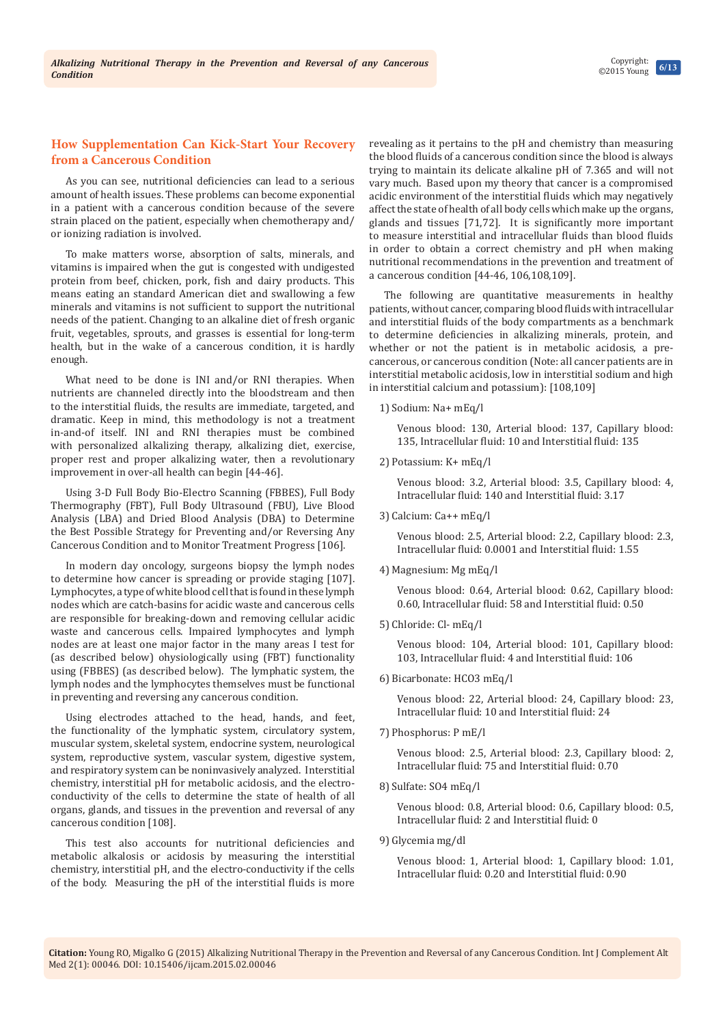## **How Supplementation Can Kick-Start Your Recovery from a Cancerous Condition**

As you can see, nutritional deficiencies can lead to a serious amount of health issues. These problems can become exponential in a patient with a cancerous condition because of the severe strain placed on the patient, especially when chemotherapy and/ or ionizing radiation is involved.

To make matters worse, absorption of salts, minerals, and vitamins is impaired when the gut is congested with undigested protein from beef, chicken, pork, fish and dairy products. This means eating an standard American diet and swallowing a few minerals and vitamins is not sufficient to support the nutritional needs of the patient. Changing to an alkaline diet of fresh organic fruit, vegetables, sprouts, and grasses is essential for long-term health, but in the wake of a cancerous condition, it is hardly enough.

What need to be done is INI and/or RNI therapies. When nutrients are channeled directly into the bloodstream and then to the interstitial fluids, the results are immediate, targeted, and dramatic. Keep in mind, this methodology is not a treatment in-and-of itself. INI and RNI therapies must be combined with personalized alkalizing therapy, alkalizing diet, exercise, proper rest and proper alkalizing water, then a revolutionary improvement in over-all health can begin [44-46].

Using 3-D Full Body Bio-Electro Scanning (FBBES), Full Body Thermography (FBT), Full Body Ultrasound (FBU), Live Blood Analysis (LBA) and Dried Blood Analysis (DBA) to Determine the Best Possible Strategy for Preventing and/or Reversing Any Cancerous Condition and to Monitor Treatment Progress [106].

In modern day oncology, surgeons biopsy the lymph nodes to determine how cancer is spreading or provide staging [107]. Lymphocytes, a type of white blood cell that is found in these lymph nodes which are catch-basins for acidic waste and cancerous cells are responsible for breaking-down and removing cellular acidic waste and cancerous cells. Impaired lymphocytes and lymph nodes are at least one major factor in the many areas I test for (as described below) ohysiologically using (FBT) functionality using (FBBES) (as described below). The lymphatic system, the lymph nodes and the lymphocytes themselves must be functional in preventing and reversing any cancerous condition.

Using electrodes attached to the head, hands, and feet, the functionality of the lymphatic system, circulatory system, muscular system, skeletal system, endocrine system, neurological system, reproductive system, vascular system, digestive system, and respiratory system can be noninvasively analyzed. Interstitial chemistry, interstitial pH for metabolic acidosis, and the electroconductivity of the cells to determine the state of health of all organs, glands, and tissues in the prevention and reversal of any cancerous condition [108].

This test also accounts for nutritional deficiencies and metabolic alkalosis or acidosis by measuring the interstitial chemistry, interstitial pH, and the electro-conductivity if the cells of the body. Measuring the pH of the interstitial fluids is more revealing as it pertains to the pH and chemistry than measuring the blood fluids of a cancerous condition since the blood is always trying to maintain its delicate alkaline pH of 7.365 and will not vary much. Based upon my theory that cancer is a compromised acidic environment of the interstitial fluids which may negatively affect the state of health of all body cells which make up the organs, glands and tissues [71,72]. It is significantly more important to measure interstitial and intracellular fluids than blood fluids in order to obtain a correct chemistry and pH when making nutritional recommendations in the prevention and treatment of a cancerous condition [44-46, 106,108,109].

The following are quantitative measurements in healthy patients, without cancer, comparing blood fluids with intracellular and interstitial fluids of the body compartments as a benchmark to determine deficiencies in alkalizing minerals, protein, and whether or not the patient is in metabolic acidosis, a precancerous, or cancerous condition (Note: all cancer patients are in interstitial metabolic acidosis, low in interstitial sodium and high in interstitial calcium and potassium): [108,109]

1) Sodium: Na+ mEq/l

Venous blood: 130, Arterial blood: 137, Capillary blood: 135, Intracellular fluid: 10 and Interstitial fluid: 135

2) Potassium: K+ mEq/l

Venous blood: 3.2, Arterial blood: 3.5, Capillary blood: 4, Intracellular fluid: 140 and Interstitial fluid: 3.17

3) Calcium: Ca++ mEq/l

Venous blood: 2.5, Arterial blood: 2.2, Capillary blood: 2.3, Intracellular fluid: 0.0001 and Interstitial fluid: 1.55

4) Magnesium: Mg mEq/l

Venous blood: 0.64, Arterial blood: 0.62, Capillary blood: 0.60, Intracellular fluid: 58 and Interstitial fluid: 0.50

5) Chloride: Cl- mEq/l

Venous blood: 104, Arterial blood: 101, Capillary blood: 103, Intracellular fluid: 4 and Interstitial fluid: 106

6) Bicarbonate: HCO3 mEq/l

Venous blood: 22, Arterial blood: 24, Capillary blood: 23, Intracellular fluid: 10 and Interstitial fluid: 24

7) Phosphorus: P mE/l

Venous blood: 2.5, Arterial blood: 2.3, Capillary blood: 2, Intracellular fluid: 75 and Interstitial fluid: 0.70

8) Sulfate: SO4 mEq/l

Venous blood: 0.8, Arterial blood: 0.6, Capillary blood: 0.5, Intracellular fluid: 2 and Interstitial fluid: 0

9) Glycemia mg/dl

Venous blood: 1, Arterial blood: 1, Capillary blood: 1.01, Intracellular fluid: 0.20 and Interstitial fluid: 0.90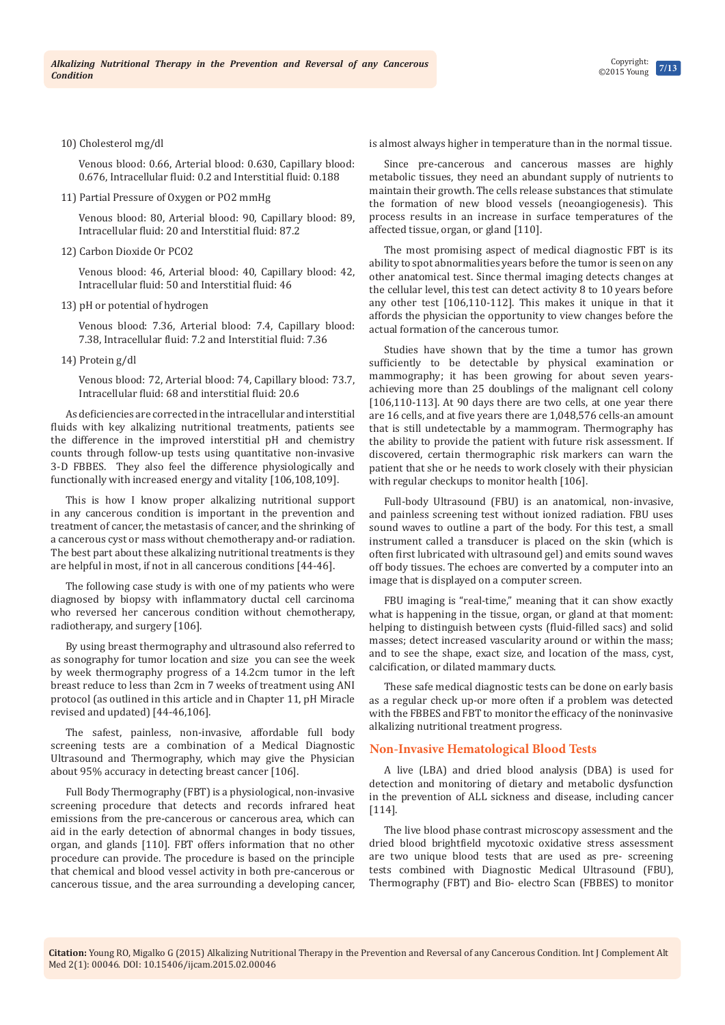#### 10) Cholesterol mg/dl

Venous blood: 0.66, Arterial blood: 0.630, Capillary blood: 0.676, Intracellular fluid: 0.2 and Interstitial fluid: 0.188

11) Partial Pressure of Oxygen or PO2 mmHg

Venous blood: 80, Arterial blood: 90, Capillary blood: 89, Intracellular fluid: 20 and Interstitial fluid: 87.2

12) Carbon Dioxide Or PCO2

Venous blood: 46, Arterial blood: 40, Capillary blood: 42, Intracellular fluid: 50 and Interstitial fluid: 46

13) pH or potential of hydrogen

Venous blood: 7.36, Arterial blood: 7.4, Capillary blood: 7.38, Intracellular fluid: 7.2 and Interstitial fluid: 7.36

14) Protein g/dl

Venous blood: 72, Arterial blood: 74, Capillary blood: 73.7, Intracellular fluid: 68 and interstitial fluid: 20.6

As deficiencies are corrected in the intracellular and interstitial fluids with key alkalizing nutritional treatments, patients see the difference in the improved interstitial pH and chemistry counts through follow-up tests using quantitative non-invasive 3-D FBBES. They also feel the difference physiologically and functionally with increased energy and vitality [106,108,109].

This is how I know proper alkalizing nutritional support in any cancerous condition is important in the prevention and treatment of cancer, the metastasis of cancer, and the shrinking of a cancerous cyst or mass without chemotherapy and-or radiation. The best part about these alkalizing nutritional treatments is they are helpful in most, if not in all cancerous conditions [44-46].

The following case study is with one of my patients who were diagnosed by biopsy with inflammatory ductal cell carcinoma who reversed her cancerous condition without chemotherapy, radiotherapy, and surgery [106].

By using breast thermography and ultrasound also referred to as sonography for tumor location and size you can see the week by week thermography progress of a 14.2cm tumor in the left breast reduce to less than 2cm in 7 weeks of treatment using ANI protocol (as outlined in this article and in Chapter 11, pH Miracle revised and updated) [44-46,106].

The safest, painless, non-invasive, affordable full body screening tests are a combination of a Medical Diagnostic Ultrasound and Thermography, which may give the Physician about 95% accuracy in detecting breast cancer [106].

Full Body Thermography (FBT) is a physiological, non-invasive screening procedure that detects and records infrared heat emissions from the pre-cancerous or cancerous area, which can aid in the early detection of abnormal changes in body tissues, organ, and glands [110]. FBT offers information that no other procedure can provide. The procedure is based on the principle that chemical and blood vessel activity in both pre-cancerous or cancerous tissue, and the area surrounding a developing cancer, is almost always higher in temperature than in the normal tissue.

Since pre-cancerous and cancerous masses are highly metabolic tissues, they need an abundant supply of nutrients to maintain their growth. The cells release substances that stimulate the formation of new blood vessels (neoangiogenesis). This process results in an increase in surface temperatures of the affected tissue, organ, or gland [110].

The most promising aspect of medical diagnostic FBT is its ability to spot abnormalities years before the tumor is seen on any other anatomical test. Since thermal imaging detects changes at the cellular level, this test can detect activity 8 to 10 years before any other test [106,110-112]. This makes it unique in that it affords the physician the opportunity to view changes before the actual formation of the cancerous tumor.

Studies have shown that by the time a tumor has grown sufficiently to be detectable by physical examination or mammography; it has been growing for about seven yearsachieving more than 25 doublings of the malignant cell colony [106,110-113]. At 90 days there are two cells, at one year there are 16 cells, and at five years there are 1,048,576 cells-an amount that is still undetectable by a mammogram. Thermography has the ability to provide the patient with future risk assessment. If discovered, certain thermographic risk markers can warn the patient that she or he needs to work closely with their physician with regular checkups to monitor health [106].

Full-body Ultrasound (FBU) is an anatomical, non-invasive, and painless screening test without ionized radiation. FBU uses sound waves to outline a part of the body. For this test, a small instrument called a transducer is placed on the skin (which is often first lubricated with ultrasound gel) and emits sound waves off body tissues. The echoes are converted by a computer into an image that is displayed on a computer screen.

FBU imaging is "real-time," meaning that it can show exactly what is happening in the tissue, organ, or gland at that moment: helping to distinguish between cysts (fluid-filled sacs) and solid masses; detect increased vascularity around or within the mass; and to see the shape, exact size, and location of the mass, cyst, calcification, or dilated mammary ducts.

These safe medical diagnostic tests can be done on early basis as a regular check up-or more often if a problem was detected with the FBBES and FBT to monitor the efficacy of the noninvasive alkalizing nutritional treatment progress.

#### **Non-Invasive Hematological Blood Tests**

A live (LBA) and dried blood analysis (DBA) is used for detection and monitoring of dietary and metabolic dysfunction in the prevention of ALL sickness and disease, including cancer [114].

The live blood phase contrast microscopy assessment and the dried blood brightfield mycotoxic oxidative stress assessment are two unique blood tests that are used as pre- screening tests combined with Diagnostic Medical Ultrasound (FBU), Thermography (FBT) and Bio- electro Scan (FBBES) to monitor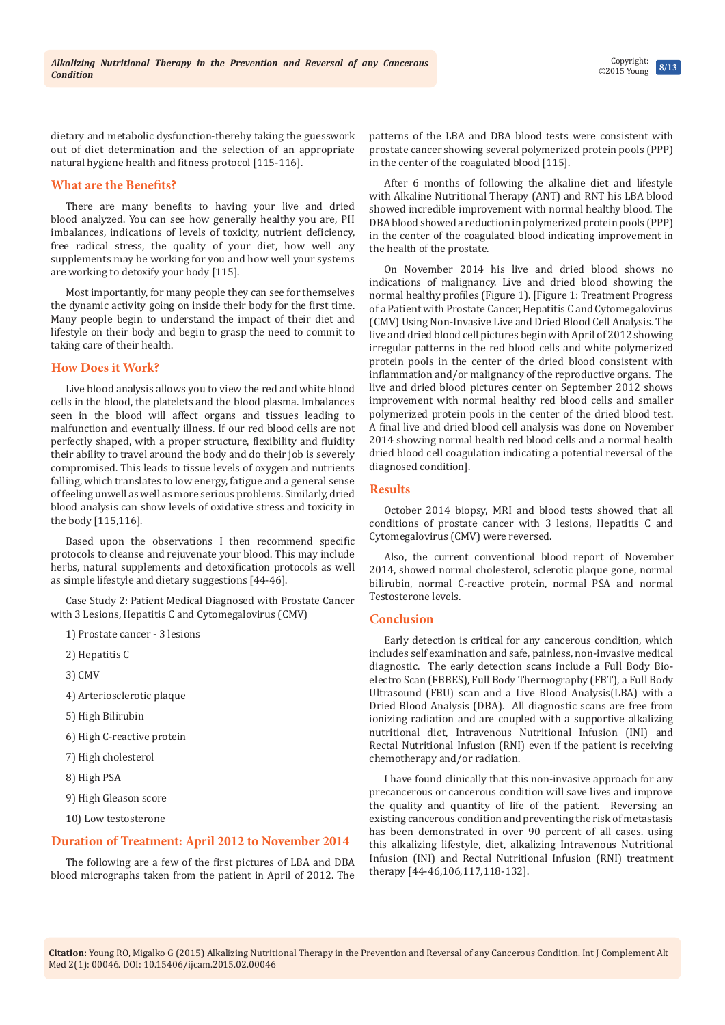**8/13** Copyright: ©2015 Young

dietary and metabolic dysfunction-thereby taking the guesswork out of diet determination and the selection of an appropriate natural hygiene health and fitness protocol [115-116].

#### **What are the Benefits?**

There are many benefits to having your live and dried blood analyzed. You can see how generally healthy you are, PH imbalances, indications of levels of toxicity, nutrient deficiency, free radical stress, the quality of your diet, how well any supplements may be working for you and how well your systems are working to detoxify your body [115].

Most importantly, for many people they can see for themselves the dynamic activity going on inside their body for the first time. Many people begin to understand the impact of their diet and lifestyle on their body and begin to grasp the need to commit to taking care of their health.

#### **How Does it Work?**

Live blood analysis allows you to view the red and white blood cells in the blood, the platelets and the blood plasma. Imbalances seen in the blood will affect organs and tissues leading to malfunction and eventually illness. If our red blood cells are not perfectly shaped, with a proper structure, flexibility and fluidity their ability to travel around the body and do their job is severely compromised. This leads to tissue levels of oxygen and nutrients falling, which translates to low energy, fatigue and a general sense of feeling unwell as well as more serious problems. Similarly, dried blood analysis can show levels of oxidative stress and toxicity in the body [115,116].

Based upon the observations I then recommend specific protocols to cleanse and rejuvenate your blood. This may include herbs, natural supplements and detoxification protocols as well as simple lifestyle and dietary suggestions [44-46].

Case Study 2: Patient Medical Diagnosed with Prostate Cancer with 3 Lesions, Hepatitis C and Cytomegalovirus (CMV)

1) Prostate cancer - 3 lesions

- 2) Hepatitis C
- 3) CMV
- 4) Arteriosclerotic plaque
- 5) High Bilirubin
- 6) High C-reactive protein
- 7) High cholesterol
- 8) High PSA
- 9) High Gleason score
- 10) Low testosterone

#### **Duration of Treatment: April 2012 to November 2014**

The following are a few of the first pictures of LBA and DBA blood micrographs taken from the patient in April of 2012. The

patterns of the LBA and DBA blood tests were consistent with prostate cancer showing several polymerized protein pools (PPP) in the center of the coagulated blood [115].

After 6 months of following the alkaline diet and lifestyle with Alkaline Nutritional Therapy (ANT) and RNT his LBA blood showed incredible improvement with normal healthy blood. The DBA blood showed a reduction in polymerized protein pools (PPP) in the center of the coagulated blood indicating improvement in the health of the prostate.

On November 2014 his live and dried blood shows no indications of malignancy. Live and dried blood showing the normal healthy profiles (Figure 1). [Figure 1: Treatment Progress of a Patient with Prostate Cancer, Hepatitis C and Cytomegalovirus (CMV) Using Non-Invasive Live and Dried Blood Cell Analysis. The live and dried blood cell pictures begin with April of 2012 showing irregular patterns in the red blood cells and white polymerized protein pools in the center of the dried blood consistent with inflammation and/or malignancy of the reproductive organs. The live and dried blood pictures center on September 2012 shows improvement with normal healthy red blood cells and smaller polymerized protein pools in the center of the dried blood test. A final live and dried blood cell analysis was done on November 2014 showing normal health red blood cells and a normal health dried blood cell coagulation indicating a potential reversal of the diagnosed condition].

#### **Results**

October 2014 biopsy, MRI and blood tests showed that all conditions of prostate cancer with 3 lesions, Hepatitis C and Cytomegalovirus (CMV) were reversed.

Also, the current conventional blood report of November 2014, showed normal cholesterol, sclerotic plaque gone, normal bilirubin, normal C-reactive protein, normal PSA and normal Testosterone levels.

## **Conclusion**

Early detection is critical for any cancerous condition, which includes self examination and safe, painless, non-invasive medical diagnostic. The early detection scans include a Full Body Bioelectro Scan (FBBES), Full Body Thermography (FBT), a Full Body Ultrasound (FBU) scan and a Live Blood Analysis(LBA) with a Dried Blood Analysis (DBA). All diagnostic scans are free from ionizing radiation and are coupled with a supportive alkalizing nutritional diet, Intravenous Nutritional Infusion (INI) and Rectal Nutritional Infusion (RNI) even if the patient is receiving chemotherapy and/or radiation.

I have found clinically that this non-invasive approach for any precancerous or cancerous condition will save lives and improve the quality and quantity of life of the patient. Reversing an existing cancerous condition and preventing the risk of metastasis has been demonstrated in over 90 percent of all cases. using this alkalizing lifestyle, diet, alkalizing Intravenous Nutritional Infusion (INI) and Rectal Nutritional Infusion (RNI) treatment therapy [44-46,106,117,118-132].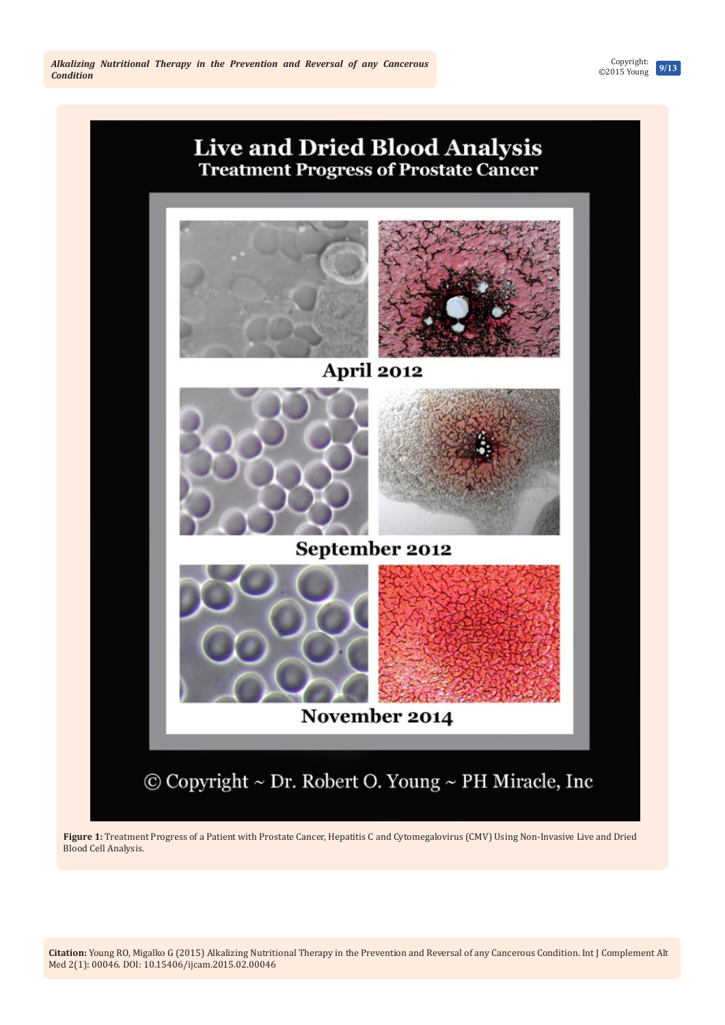April 2012 September 2012 November 2014 © Copyright ~ Dr. Robert O. Young ~ PH Miracle, Inc

**Live and Dried Blood Analysis Treatment Progress of Prostate Cancer** 

**Figure 1:** Treatment Progress of a Patient with Prostate Cancer, Hepatitis C and Cytomegalovirus (CMV) Using Non-Invasive Live and Dried Blood Cell Analysis.

**9/13** Copyright: ©2015 Young

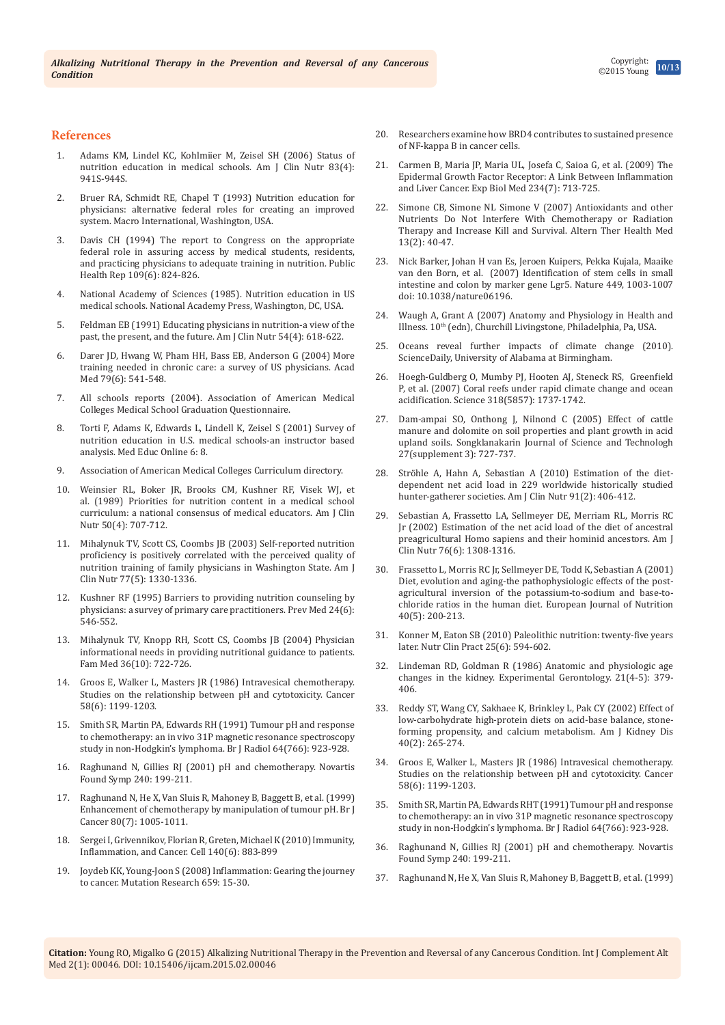#### **References**

- 1. [Adams KM, Lindel KC, Kohlmiier M, Zeisel SH \(2006\) Status of](http://www.ncbi.nlm.nih.gov/pubmed/16600952/)  [nutrition education in medical schools. Am J Clin Nutr 83\(4\):](http://www.ncbi.nlm.nih.gov/pubmed/16600952/)  [941S-944S.](http://www.ncbi.nlm.nih.gov/pubmed/16600952/)
- 2. Bruer RA, Schmidt RE, Chapel T (1993) Nutrition education for physicians: alternative federal roles for creating an improved system. Macro International, Washington, USA.
- 3. [Davis CH \(1994\) The report to Congress on the appropriate](http://www.ncbi.nlm.nih.gov/pubmed/7800795/)  [federal role in assuring access by medical students, residents,](http://www.ncbi.nlm.nih.gov/pubmed/7800795/)  [and practicing physicians to adequate training in nutrition. Public](http://www.ncbi.nlm.nih.gov/pubmed/7800795/)  [Health Rep 109\(6\): 824-826.](http://www.ncbi.nlm.nih.gov/pubmed/7800795/)
- 4. National Academy of Sciences (1985). Nutrition education in US medical schools. National Academy Press, Washington, DC, USA.
- 5. [Feldman EB \(1991\) Educating physicians in nutrition-a view of the](http://www.ncbi.nlm.nih.gov/pubmed/1897467)  [past, the present, and the future. Am J Clin Nutr 54\(4\): 618-622.](http://www.ncbi.nlm.nih.gov/pubmed/1897467)
- 6. [Darer JD, Hwang W, Pham HH, Bass EB, Anderson G \(2004\) More](http://www.ncbi.nlm.nih.gov/pubmed/15165973)  [training needed in chronic care: a survey of US physicians. Acad](http://www.ncbi.nlm.nih.gov/pubmed/15165973)  [Med 79\(6\): 541-548.](http://www.ncbi.nlm.nih.gov/pubmed/15165973)
- 7. [All schools reports \(2004\). Association of American Medical](https://www.aamc.org/data/gq/allschoolsreports)  [Colleges Medical School Graduation Questionnaire.](https://www.aamc.org/data/gq/allschoolsreports)
- 8. [Torti F, Adams K, Edwards L, Lindell K, Zeisel S \(2001\) Survey of](http://med-ed-online.net/index.php/meo/article/view/4526)  [nutrition education in U.S. medical schools-an instructor based](http://med-ed-online.net/index.php/meo/article/view/4526)  [analysis. Med Educ Online 6: 8.](http://med-ed-online.net/index.php/meo/article/view/4526)
- 9. [Association of American Medical Colleges Curriculum directory.](https://www.aamc.org/initiatives/cir/)
- 10. [Weinsier RL, Boker JR, Brooks CM, Kushner RF, Visek WJ, et](http://www.ncbi.nlm.nih.gov/pubmed/2801575)  [al. \(1989\) Priorities for nutrition content in a medical school](http://www.ncbi.nlm.nih.gov/pubmed/2801575)  [curriculum: a national consensus of medical educators. Am J Clin](http://www.ncbi.nlm.nih.gov/pubmed/2801575)  [Nutr 50\(4\): 707-712.](http://www.ncbi.nlm.nih.gov/pubmed/2801575)
- 11. [Mihalynuk TV, Scott CS, Coombs JB \(2003\) Self-reported nutrition](http://www.ncbi.nlm.nih.gov/pubmed/12716690)  [proficiency is positively correlated with the perceived quality of](http://www.ncbi.nlm.nih.gov/pubmed/12716690)  [nutrition training of family physicians in Washington State. Am J](http://www.ncbi.nlm.nih.gov/pubmed/12716690)  [Clin Nutr 77\(5\): 1330-1336.](http://www.ncbi.nlm.nih.gov/pubmed/12716690)
- 12. [Kushner RF \(1995\) Barriers to providing nutrition counseling by](http://www.ncbi.nlm.nih.gov/pubmed/8610076)  [physicians: a survey of primary care practitioners. Prev Med 24\(6\):](http://www.ncbi.nlm.nih.gov/pubmed/8610076)  [546-552.](http://www.ncbi.nlm.nih.gov/pubmed/8610076)
- 13. [Mihalynuk TV, Knopp RH, Scott CS, Coombs JB \(2004\) Physician](http://www.ncbi.nlm.nih.gov/pubmed/15531987)  [informational needs in providing nutritional guidance to patients.](http://www.ncbi.nlm.nih.gov/pubmed/15531987)  [Fam Med 36\(10\): 722-726.](http://www.ncbi.nlm.nih.gov/pubmed/15531987)
- 14. [Groos E, Walker L, Masters JR \(1986\) Intravesical chemotherapy.](http://www.ncbi.nlm.nih.gov/pubmed/3091241)  [Studies on the relationship between pH and cytotoxicity.](http://www.ncbi.nlm.nih.gov/pubmed/3091241) Cancer [58\(6\): 1199-1203.](http://www.ncbi.nlm.nih.gov/pubmed/3091241)
- 15. [Smith SR, Martin PA, Edwards RH \(1991\) Tumour pH and response](http://www.ncbi.nlm.nih.gov/pubmed/1954534)  [to chemotherapy: an in vivo 31P magnetic resonance spectroscopy](http://www.ncbi.nlm.nih.gov/pubmed/1954534)  [study in non-Hodgkin's lymphoma.](http://www.ncbi.nlm.nih.gov/pubmed/1954534) Br J Radiol 64(766): 923-928.
- 16. [Raghunand N, Gillies RJ \(2001\) pH and chemotherapy.](http://www.ncbi.nlm.nih.gov/pubmed/11727930) Novartis [Found Symp 240: 199-211.](http://www.ncbi.nlm.nih.gov/pubmed/11727930)
- 17. [Raghunand N, He X, Van Sluis R, Mahoney B, Baggett B, et al. \(1999\)](http://www.ncbi.nlm.nih.gov/pubmed/10362108)  [Enhancement of chemotherapy by manipulation of tumour pH.](http://www.ncbi.nlm.nih.gov/pubmed/10362108) Br J [Cancer 80\(7\): 1005-1011.](http://www.ncbi.nlm.nih.gov/pubmed/10362108)
- 18. [Sergei I, Grivennikov, Florian R, Greten, Michael K \(2010\) Immunity,](http://www.sciencedirect.com/science/article/pii/S0092867410000607)  [Inflammation, and Cancer. Cell 140\(6\): 883-899](http://www.sciencedirect.com/science/article/pii/S0092867410000607)
- 19. [Joydeb KK, Young-Joon S \(2008\) Inflammation: Gearing the journey](http://www.uccs.edu/Documents/rmelamed/kundu_surh_2008_18485806.pdf)  [to cancer. Mutation Research 659: 15-30.](http://www.uccs.edu/Documents/rmelamed/kundu_surh_2008_18485806.pdf)
- 20. [Researchers examine how BRD4 contributes to sustained presence](http://www.news-medical.net/news/20130520/Researchers-examine-how-BRD4-contributes-to-sustained-presence-of-NF-kappa-B-in-cancer-cells.aspx)  [of NF-kappa B in cancer cells.](http://www.news-medical.net/news/20130520/Researchers-examine-how-BRD4-contributes-to-sustained-presence-of-NF-kappa-B-in-cancer-cells.aspx)
- 21. Carmen B, Maria JP, Maria UL, Josefa C, Saioa G, et al. (2009) The Epidermal Growth Factor Receptor: A Link Between Inflammation and Liver Cancer. Exp Biol Med 234(7): 713-725.
- 22. [Simone CB, Simone NL Simone V \(2007\) Antioxidants and other](http://www.ncbi.nlm.nih.gov/pubmed/17405678)  [Nutrients Do Not Interfere With Chemotherapy or Radiation](http://www.ncbi.nlm.nih.gov/pubmed/17405678)  [Therapy and Increase Kill and Survival. Altern Ther Health Med](http://www.ncbi.nlm.nih.gov/pubmed/17405678)  [13\(2\): 40-47.](http://www.ncbi.nlm.nih.gov/pubmed/17405678)
- 23. [Nick Barker, Johan H van Es, Jeroen Kuipers, Pekka Kujala, Maaike](http://www.nature.com/nature/journal/v449/n7165/full/nature06196.html)  van den Born, et al. (2007) [Identification of stem cells in small](http://www.nature.com/nature/journal/v449/n7165/full/nature06196.html)  [intestine and colon by marker gene](http://www.nature.com/nature/journal/v449/n7165/full/nature06196.html) Lgr5. Nature 449, 1003-1007 [doi: 10.1038/nature06196.](http://www.nature.com/nature/journal/v449/n7165/full/nature06196.html)
- 24. Waugh A, Grant A (2007) Anatomy and Physiology in Health and Illness. 10<sup>th</sup> (edn), Churchill Livingstone, Philadelphia, Pa, USA.
- 25. [Oceans reveal further impacts of climate change \(2010\).](http://www.sciencedaily.com/releases/2010/02/100204144811.htm)  [ScienceDaily, University of Alabama at Birmingham.](http://www.sciencedaily.com/releases/2010/02/100204144811.htm)
- 26. [Hoegh-Guldberg O, Mumby PJ, Hooten AJ, Steneck RS, Greenfield](http://www.ncbi.nlm.nih.gov/pubmed/18079392)  [P, et al. \(2007\) Coral reefs under rapid climate change and ocean](http://www.ncbi.nlm.nih.gov/pubmed/18079392)  [acidification. Science 318\(5857\): 1737-1742.](http://www.ncbi.nlm.nih.gov/pubmed/18079392)
- 27. Dam-ampai SO, Onthong J, Nilnond C (2005) Effect of cattle manure and dolomite on soil properties and plant growth in acid upland soils. Songklanakarin Journal of Science and Technologh 27(supplement 3): 727-737.
- 28. [Ströhle A, Hahn A, Sebastian A \(2010\) Estimation of the diet](http://www.ncbi.nlm.nih.gov/pubmed/20042527)[dependent net acid load in 229 worldwide historically studied](http://www.ncbi.nlm.nih.gov/pubmed/20042527)  [hunter-gatherer societies. Am J Clin Nutr 91\(2\): 406-412.](http://www.ncbi.nlm.nih.gov/pubmed/20042527)
- 29. [Sebastian A, Frassetto LA, Sellmeyer DE, Merriam RL, Morris RC](http://www.ncbi.nlm.nih.gov/pubmed/12450898)  [Jr \(2002\) Estimation of the net acid load of the diet of ancestral](http://www.ncbi.nlm.nih.gov/pubmed/12450898)  [preagricultural Homo sapiens and their hominid ancestors. Am J](http://www.ncbi.nlm.nih.gov/pubmed/12450898)  [Clin Nutr 76\(6\): 1308-1316.](http://www.ncbi.nlm.nih.gov/pubmed/12450898)
- 30. [Frassetto L, Morris RC Jr, Sellmeyer DE, Todd K, Sebastian A \(2001\)](http://www.ncbi.nlm.nih.gov/pubmed/11842945)  [Diet, evolution and aging-the pathophysiologic effects of the post](http://www.ncbi.nlm.nih.gov/pubmed/11842945)[agricultural inversion of the potassium-to-sodium and base-to](http://www.ncbi.nlm.nih.gov/pubmed/11842945)[chloride ratios in the human diet. European Journal of Nutrition](http://www.ncbi.nlm.nih.gov/pubmed/11842945)  [40\(5\): 200-213.](http://www.ncbi.nlm.nih.gov/pubmed/11842945)
- 31. [Konner M, Eaton SB \(2010\) Paleolithic nutrition: twenty-five years](http://www.ncbi.nlm.nih.gov/pubmed/21139123)  [later. Nutr Clin Pract 25\(6\): 594-602.](http://www.ncbi.nlm.nih.gov/pubmed/21139123)
- 32. [Lindeman RD, Goldman R \(1986\) Anatomic and physiologic age](http://www.ncbi.nlm.nih.gov/pubmed/3545873)  [changes in the kidney. Experimental Gerontology. 21\(4-5\): 379-](http://www.ncbi.nlm.nih.gov/pubmed/3545873) [406.](http://www.ncbi.nlm.nih.gov/pubmed/3545873)
- 33. [Reddy ST, Wang CY, Sakhaee K, Brinkley L, Pak CY \(2002\) Effect of](http://www.ncbi.nlm.nih.gov/pubmed/12148098)  [low-carbohydrate high-protein diets on acid-base balance, stone](http://www.ncbi.nlm.nih.gov/pubmed/12148098)[forming propensity, and calcium metabolism. Am J Kidney Dis](http://www.ncbi.nlm.nih.gov/pubmed/12148098)  [40\(2\): 265-274.](http://www.ncbi.nlm.nih.gov/pubmed/12148098)
- 34. [Groos E, Walker L, Masters JR \(1986\) Intravesical chemotherapy.](http://www.ncbi.nlm.nih.gov/pubmed/3091241)  [Studies on the relationship between pH and cytotoxicity.](http://www.ncbi.nlm.nih.gov/pubmed/3091241) Cancer [58\(6\): 1199-1203.](http://www.ncbi.nlm.nih.gov/pubmed/3091241)
- 35. [Smith SR, Martin PA, Edwards RHT \(1991\) Tumour pH and response](http://www.ncbi.nlm.nih.gov/pubmed/1954534)  [to chemotherapy: an in vivo 31P magnetic resonance spectroscopy](http://www.ncbi.nlm.nih.gov/pubmed/1954534)  [study in non-Hodgkin's lymphoma.](http://www.ncbi.nlm.nih.gov/pubmed/1954534) Br J Radiol 64(766): 923-928.
- 36. [Raghunand N, Gillies RJ \(2001\) pH and chemotherapy.](http://www.ncbi.nlm.nih.gov/pubmed/11727930) Novartis [Found Symp 240: 199-211.](http://www.ncbi.nlm.nih.gov/pubmed/11727930)
- 37. [Raghunand N, He X, Van Sluis R, Mahoney B, Baggett B, et al. \(1999\)](http://www.ncbi.nlm.nih.gov/pubmed/10362108)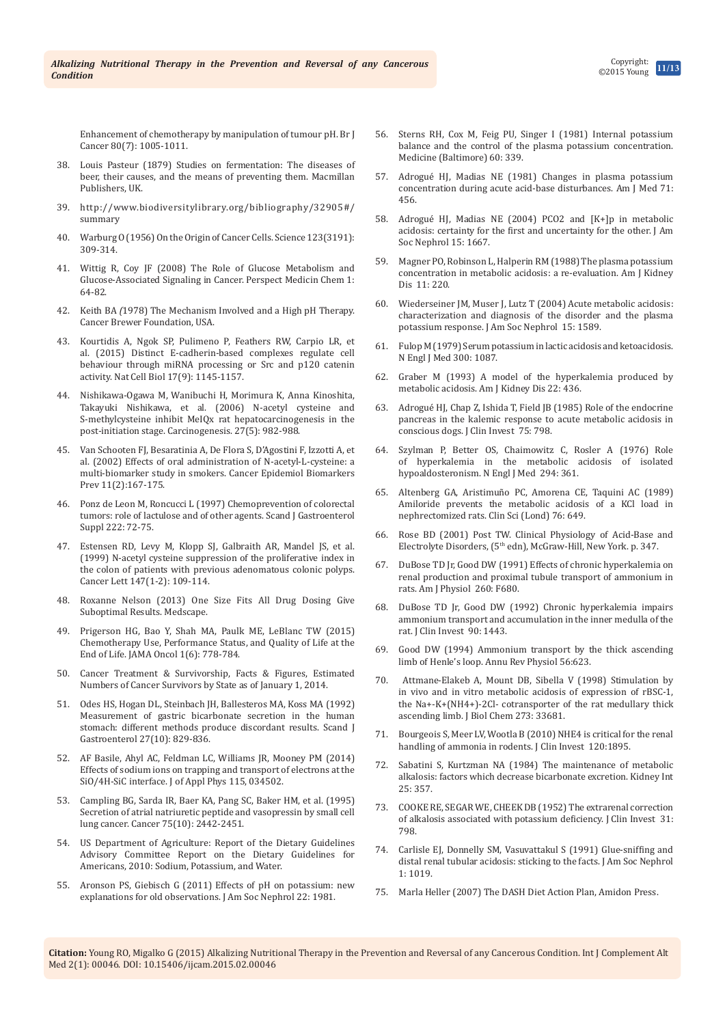[Enhancement of chemotherapy by manipulation of tumour pH.](http://www.ncbi.nlm.nih.gov/pubmed/10362108) Br J [Cancer 80\(7\): 1005-1011.](http://www.ncbi.nlm.nih.gov/pubmed/10362108)

- 38. Louis Pasteur (1879) Studies on fermentation: The diseases of beer, their causes, and the means of preventing them. Macmillan Publishers, UK.
- 39. [http://www.biodiversitylibrary.org/bibliography/32905#/](http://www.biodiversitylibrary.org/bibliography/32905%23/summary%20) [summary](http://www.biodiversitylibrary.org/bibliography/32905%23/summary%20)
- 40. [Warburg O \(1956\) On the Origin of Cancer Cells.](http://www.ncbi.nlm.nih.gov/pubmed/13298683) Science 123(3191): [309-314.](http://www.ncbi.nlm.nih.gov/pubmed/13298683)
- 41. [Wittig R, Coy JF \(2008\) The Role of Glucose Metabolism and](http://www.ncbi.nlm.nih.gov/pubmed/19812737/)  [Glucose-Associated Signaling in Cancer.](http://www.ncbi.nlm.nih.gov/pubmed/19812737/) Perspect Medicin Chem 1: [64-82.](http://www.ncbi.nlm.nih.gov/pubmed/19812737/)
- 42. Keith BA *(*1978) The Mechanism Involved and a High pH Therapy. Cancer Brewer Foundation, USA.
- 43. [Kourtidis A, Ngok SP, Pulimeno P, Feathers RW, Carpio LR, et](http://www.ncbi.nlm.nih.gov/pubmed/26302406)  [al. \(2015\) Distinct E-cadherin-based complexes regulate cell](http://www.ncbi.nlm.nih.gov/pubmed/26302406)  [behaviour through miRNA processing or Src and p120](http://www.ncbi.nlm.nih.gov/pubmed/26302406) catenin [activity. Nat Cell Biol](http://www.ncbi.nlm.nih.gov/pubmed/26302406) 17(9): 1145-1157.
- 44. [Nishikawa-Ogawa M, Wanibuchi H, Morimura K, Anna Kinoshita,](http://carcin.oxfordjournals.org/content/27/5/982.full)  [Takayuki Nishikawa, et al. \(2006\) N-acetyl cysteine and](http://carcin.oxfordjournals.org/content/27/5/982.full)  [S-methylcysteine inhibit MeIQx rat hepatocarcinogenesis in the](http://carcin.oxfordjournals.org/content/27/5/982.full)  [post-initiation stage. Carcinogenesis. 27\(5\): 982-988.](http://carcin.oxfordjournals.org/content/27/5/982.full)
- 45. [Van Schooten FJ, Besaratinia A, De Flora S, D'Agostini F, Izzotti A, et](http://www.ncbi.nlm.nih.gov/pubmed/11867504)  [al. \(2002\) Effects of oral administration of N-acetyl-L-cysteine: a](http://www.ncbi.nlm.nih.gov/pubmed/11867504)  [multi-biomarker study in smokers. Cancer Epidemiol Biomarkers](http://www.ncbi.nlm.nih.gov/pubmed/11867504)  [Prev 11\(2\):167-175.](http://www.ncbi.nlm.nih.gov/pubmed/11867504)
- 46. [Ponz de Leon M, Roncucci L \(1997\) Chemoprevention of colorectal](http://www.ncbi.nlm.nih.gov/pubmed/9145453)  [tumors: role of lactulose and of other agents. Scand J Gastroenterol](http://www.ncbi.nlm.nih.gov/pubmed/9145453)  [Suppl 222: 72-75.](http://www.ncbi.nlm.nih.gov/pubmed/9145453)
- 47. [Estensen RD, Levy M, Klopp SJ, Galbraith AR, Mandel JS, et al.](http://www.ncbi.nlm.nih.gov/pubmed/10660096)  [\(1999\) N-acetyl cysteine suppression of the proliferative index in](http://www.ncbi.nlm.nih.gov/pubmed/10660096)  [the colon of patients with previous adenomatous colonic polyps.](http://www.ncbi.nlm.nih.gov/pubmed/10660096)  [Cancer Lett 147\(1-2\): 109-114.](http://www.ncbi.nlm.nih.gov/pubmed/10660096)
- 48. [Roxanne Nelson \(2013\) One Size Fits All Drug Dosing Give](http://www.medscape.com/viewarticle/803357)  [Suboptimal Results. Medscape.](http://www.medscape.com/viewarticle/803357)
- 49. [Prigerson HG, Bao Y, Shah MA, Paulk ME, LeBlanc TW \(2015\)](http://www.ncbi.nlm.nih.gov/pubmed/26203912)  [Chemotherapy Use, Performance Status, and Quality of Life at the](http://www.ncbi.nlm.nih.gov/pubmed/26203912)  [End of Life. JAMA Oncol 1\(6\): 778-784.](http://www.ncbi.nlm.nih.gov/pubmed/26203912)
- 50. [Cancer Treatment & Survivorship, Facts & Figures, Estimated](http://www.cancer.org/acs/groups/content/@research/documents/document/acspc-042801.pdf)  [Numbers of Cancer Survivors by State as of January 1, 2014.](http://www.cancer.org/acs/groups/content/@research/documents/document/acspc-042801.pdf)
- 51. [Odes HS, Hogan DL, Steinbach JH, Ballesteros MA, Koss MA \(1992\)](http://www.ncbi.nlm.nih.gov/pubmed/1332183)  [Measurement of gastric bicarbonate secretion in the human](http://www.ncbi.nlm.nih.gov/pubmed/1332183)  [stomach: different methods produce discordant results. Scand J](http://www.ncbi.nlm.nih.gov/pubmed/1332183)  [Gastroenterol 27\(10\): 829-836.](http://www.ncbi.nlm.nih.gov/pubmed/1332183)
- 52. [AF Basile, Ahyl AC, Feldman LC, Williams JR, Mooney PM \(2014\)](http://scitation.aip.org/content/aip/journal/jap/115/3/10.1063/1.4861646)  [Effects of sodium ions on trapping and transport of electrons at the](http://scitation.aip.org/content/aip/journal/jap/115/3/10.1063/1.4861646)  [SiO/4H-SiC interface. J of Appl Phys](http://scitation.aip.org/content/aip/journal/jap/115/3/10.1063/1.4861646) 115, 034502.
- 53. [Campling BG, Sarda IR, Baer KA, Pang SC, Baker HM, et al. \(1995\)](http://www.ncbi.nlm.nih.gov/pubmed/7736387)  [Secretion of atrial natriuretic peptide and vasopressin by small cell](http://www.ncbi.nlm.nih.gov/pubmed/7736387)  lung cancer. [Cancer 75\(10\): 2442-2451.](http://www.ncbi.nlm.nih.gov/pubmed/7736387)
- 54. US Department of Agriculture: Report of the Dietary Guidelines Advisory Committee Report on the Dietary Guidelines for Americans, 2010: Sodium, Potassium, and Water.
- 55. [Aronson PS, Giebisch G \(2011\) Effects of pH on potassium: new](http://www.uptodate.com/contents/potassium-balance-in-acid-base-disorders/abstract/1)  [explanations for old observations. J Am Soc Nephrol 22: 1981.](http://www.uptodate.com/contents/potassium-balance-in-acid-base-disorders/abstract/1)
- 56. [Sterns RH, Cox M, Feig PU, Singer I \(1981\) Internal potassium](http://www.uptodate.com/contents/potassium-balance-in-acid-base-disorders/abstract/2)  [balance and the control of the plasma potassium concentration.](http://www.uptodate.com/contents/potassium-balance-in-acid-base-disorders/abstract/2)  [Medicine \(Baltimore\) 60: 339.](http://www.uptodate.com/contents/potassium-balance-in-acid-base-disorders/abstract/2)
- 57. [Adrogué HJ, Madias NE \(1981\) Changes in plasma potassium](http://www.uptodate.com/contents/potassium-balance-in-acid-base-disorders/abstract/3)  [concentration during acute acid-base disturbances. Am J Med 71:](http://www.uptodate.com/contents/potassium-balance-in-acid-base-disorders/abstract/3)  [456.](http://www.uptodate.com/contents/potassium-balance-in-acid-base-disorders/abstract/3)
- 58. [Adrogué HJ, Madias NE \(2004\) PCO2 and \[K+\]p in metabolic](http://www.uptodate.com/contents/potassium-balance-in-acid-base-disorders/abstract/4)  [acidosis: certainty for the first and uncertainty for the other. J Am](http://www.uptodate.com/contents/potassium-balance-in-acid-base-disorders/abstract/4)  [Soc Nephrol 15: 1667.](http://www.uptodate.com/contents/potassium-balance-in-acid-base-disorders/abstract/4)
- 59. [Magner PO, Robinson L, Halperin RM \(1988\) The plasma potassium](http://www.uptodate.com/contents/potassium-balance-in-acid-base-disorders/abstract/5)  [concentration in metabolic acidosis: a re-evaluation. Am J Kidney](http://www.uptodate.com/contents/potassium-balance-in-acid-base-disorders/abstract/5)  [Dis 11: 220.](http://www.uptodate.com/contents/potassium-balance-in-acid-base-disorders/abstract/5)
- 60. [Wiederseiner JM, Muser J, Lutz T \(2004\) Acute metabolic acidosis:](http://www.uptodate.com/contents/potassium-balance-in-acid-base-disorders/abstract/6)  [characterization and diagnosis of the disorder and the plasma](http://www.uptodate.com/contents/potassium-balance-in-acid-base-disorders/abstract/6)  [potassium response. J Am Soc Nephrol 15: 1589.](http://www.uptodate.com/contents/potassium-balance-in-acid-base-disorders/abstract/6)
- 61. [Fulop M \(1979\) Serum potassium in lactic acidosis and ketoacidosis.](http://www.uptodate.com/contents/potassium-balance-in-acid-base-disorders/abstract/7)  [N Engl J Med 300: 1087.](http://www.uptodate.com/contents/potassium-balance-in-acid-base-disorders/abstract/7)
- 62. [Graber M \(1993\) A model of the hyperkalemia produced by](http://www.uptodate.com/contents/potassium-balance-in-acid-base-disorders/abstract/8)  [metabolic acidosis. Am J Kidney Dis 22: 436.](http://www.uptodate.com/contents/potassium-balance-in-acid-base-disorders/abstract/8)
- 63. [Adrogué HJ, Chap Z, Ishida T, Field JB \(1985\) Role of the endocrine](http://www.uptodate.com/contents/potassium-balance-in-acid-base-disorders/abstract/9)  [pancreas in the kalemic response to acute metabolic acidosis in](http://www.uptodate.com/contents/potassium-balance-in-acid-base-disorders/abstract/9)  [conscious dogs. J Clin Invest 75: 798.](http://www.uptodate.com/contents/potassium-balance-in-acid-base-disorders/abstract/9)
- 64. [Szylman P, Better OS, Chaimowitz C, Rosler A \(1976\) Role](http://www.uptodate.com/contents/potassium-balance-in-acid-base-disorders/abstract/10)  [of hyperkalemia in the metabolic acidosis of isolated](http://www.uptodate.com/contents/potassium-balance-in-acid-base-disorders/abstract/10)  [hypoaldosteronism. N Engl J Med 294: 361.](http://www.uptodate.com/contents/potassium-balance-in-acid-base-disorders/abstract/10)
- 65. [Altenberg GA, Aristimuño PC, Amorena CE, Taquini AC \(1989\)](http://www.uptodate.com/contents/potassium-balance-in-acid-base-disorders/abstract/11)  [Amiloride prevents the metabolic acidosis of a KCl load in](http://www.uptodate.com/contents/potassium-balance-in-acid-base-disorders/abstract/11)  [nephrectomized rats. Clin Sci \(Lond\) 76: 649.](http://www.uptodate.com/contents/potassium-balance-in-acid-base-disorders/abstract/11)
- 66. Rose BD (2001) Post TW. Clinical Physiology of Acid-Base and Electrolyte Disorders, (5th edn), McGraw-Hill, New York. p. 347.
- 67. [DuBose TD Jr, Good DW \(1991\) Effects of chronic hyperkalemia on](http://www.uptodate.com/contents/potassium-balance-in-acid-base-disorders/abstract/13)  [renal production and proximal tubule transport of ammonium in](http://www.uptodate.com/contents/potassium-balance-in-acid-base-disorders/abstract/13)  [rats. Am J Physiol 260: F680.](http://www.uptodate.com/contents/potassium-balance-in-acid-base-disorders/abstract/13)
- 68. [DuBose TD Jr, Good DW \(1992\) Chronic hyperkalemia impairs](http://www.uptodate.com/contents/potassium-balance-in-acid-base-disorders/abstract/14)  [ammonium transport and accumulation in the inner medulla of the](http://www.uptodate.com/contents/potassium-balance-in-acid-base-disorders/abstract/14)  [rat. J Clin Invest 90: 1443.](http://www.uptodate.com/contents/potassium-balance-in-acid-base-disorders/abstract/14)
- 69. [Good DW \(1994\) Ammonium transport by the thick ascending](http://www.uptodate.com/contents/potassium-balance-in-acid-base-disorders/abstract/15)  [limb of Henle's loop. Annu Rev Physiol 56:623.](http://www.uptodate.com/contents/potassium-balance-in-acid-base-disorders/abstract/15)
- 70. [Attmane-Elakeb A, Mount DB, Sibella V \(1998\) Stimulation by](http://www.uptodate.com/contents/potassium-balance-in-acid-base-disorders/abstract/16)  [in vivo and in vitro metabolic acidosis of expression of rBSC-1,](http://www.uptodate.com/contents/potassium-balance-in-acid-base-disorders/abstract/16)  [the Na+-K+\(NH4+\)-2Cl- cotransporter of the rat medullary thick](http://www.uptodate.com/contents/potassium-balance-in-acid-base-disorders/abstract/16)  [ascending limb. J Biol Chem 273: 33681.](http://www.uptodate.com/contents/potassium-balance-in-acid-base-disorders/abstract/16)
- 71. [Bourgeois S, Meer LV, Wootla B \(2010\) NHE4 is critical for the renal](http://www.uptodate.com/contents/potassium-balance-in-acid-base-disorders/abstract/17)  [handling of ammonia in rodents. J Clin Invest 120:1895.](http://www.uptodate.com/contents/potassium-balance-in-acid-base-disorders/abstract/17)
- 72. [Sabatini S, Kurtzman NA \(1984\) The maintenance of metabolic](http://www.uptodate.com/contents/potassium-balance-in-acid-base-disorders/abstract/18)  [alkalosis: factors which decrease bicarbonate excretion. Kidney Int](http://www.uptodate.com/contents/potassium-balance-in-acid-base-disorders/abstract/18)  [25: 357.](http://www.uptodate.com/contents/potassium-balance-in-acid-base-disorders/abstract/18)
- 73. [COOKE RE, SEGAR WE, CHEEK DB \(1952\) The extrarenal correction](http://www.uptodate.com/contents/potassium-balance-in-acid-base-disorders/abstract/19)  [of alkalosis associated with potassium deficiency. J Clin Invest 31:](http://www.uptodate.com/contents/potassium-balance-in-acid-base-disorders/abstract/19)  [798.](http://www.uptodate.com/contents/potassium-balance-in-acid-base-disorders/abstract/19)
- 74. [Carlisle EJ, Donnelly SM, Vasuvattakul S \(1991\) Glue-sniffing and](http://www.uptodate.com/contents/potassium-balance-in-acid-base-disorders/abstract/20)  [distal renal tubular acidosis: sticking to the facts. J Am Soc Nephrol](http://www.uptodate.com/contents/potassium-balance-in-acid-base-disorders/abstract/20)  [1: 1019.](http://www.uptodate.com/contents/potassium-balance-in-acid-base-disorders/abstract/20)
- 75. Marla Heller (2007) The DASH Diet Action Plan, Amidon Press.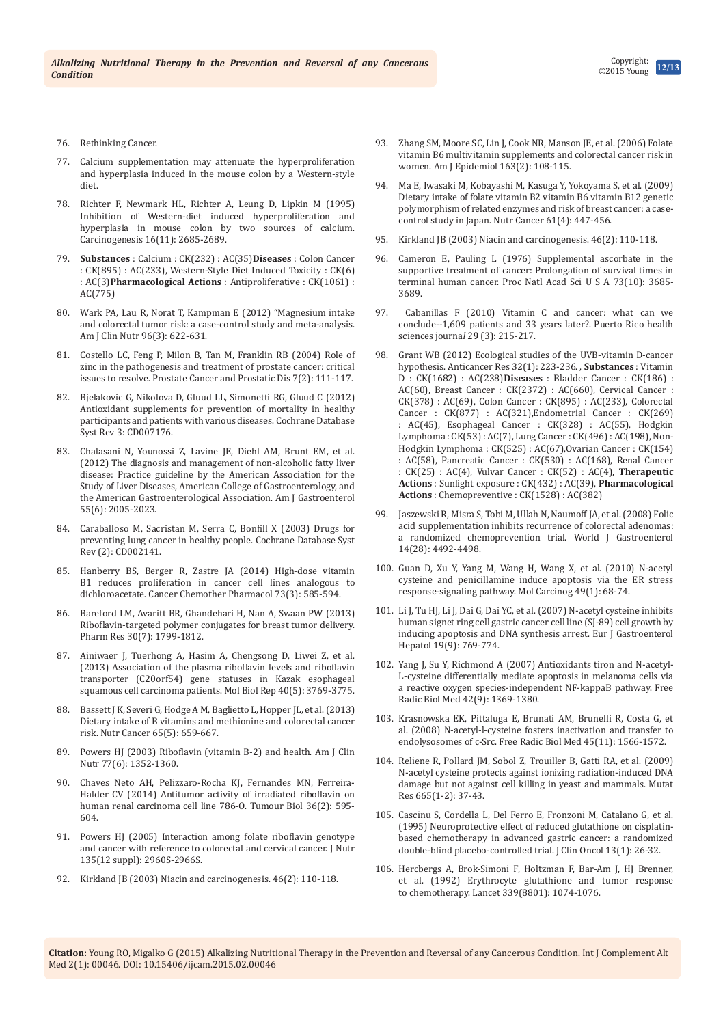- 76. [Rethinking Cancer.](http://www.rethinkingcancer.org/resources/magazine-articles/18_7-8/potassium.php)
- 77. [Calcium supplementation may attenuate the hyperproliferation](http://www.greenmedinfo.com/article/calcium-supplementation-may-attenuate-hyperproliferation-and-hyperplasia-induced-mouse-colon)  [and hyperplasia induced in the mouse colon by a Western-style](http://www.greenmedinfo.com/article/calcium-supplementation-may-attenuate-hyperproliferation-and-hyperplasia-induced-mouse-colon)  [diet.](http://www.greenmedinfo.com/article/calcium-supplementation-may-attenuate-hyperproliferation-and-hyperplasia-induced-mouse-colon)
- 78. [Richter F, Newmark HL, Richter A, Leung D, Lipkin M \(1995\)](http://www.ncbi.nlm.nih.gov/pubmed/7586187)  [Inhibition of Western-diet induced hyperproliferation and](http://www.ncbi.nlm.nih.gov/pubmed/7586187)  [hyperplasia in mouse colon by two sources of calcium.](http://www.ncbi.nlm.nih.gov/pubmed/7586187)  [Carcinogenesis 16\(11\): 2685-2689.](http://www.ncbi.nlm.nih.gov/pubmed/7586187)
- 79. **Substances** : [Calcium : CK\(232\) : AC\(35\)](http://www.greenmedinfo.com/substance/calcium)**Diseases** : [Colon Cancer](http://www.greenmedinfo.com/disease/colon-cancer)  [: CK\(895\) : AC\(233\),](http://www.greenmedinfo.com/disease/colon-cancer) [Western-Style Diet Induced Toxicity : CK\(6\)](http://www.greenmedinfo.com/disease/western-style-diet-induced-toxicity)  [: AC\(3\)](http://www.greenmedinfo.com/disease/western-style-diet-induced-toxicity)**Pharmacological Actions** : [Antiproliferative : CK\(1061\) :](http://www.greenmedinfo.com/pharmacological-action/antiproliferative)  [AC\(775\)](http://www.greenmedinfo.com/pharmacological-action/antiproliferative)
- 80. [Wark PA, Lau R, Norat T, Kampman E \(2012\) "Magnesium intake](http://www.ncbi.nlm.nih.gov/pubmed/22854408)  [and colorectal tumor risk: a case-control study and meta-analysis.](http://www.ncbi.nlm.nih.gov/pubmed/22854408)  [Am J Clin Nutr 96\(3\): 622-631.](http://www.ncbi.nlm.nih.gov/pubmed/22854408)
- 81. [Costello LC, Feng P, Milon B, Tan M, Franklin RB \(2004\)](http://www.ncbi.nlm.nih.gov/pubmed/15175662) Role of [zinc in the pathogenesis and treatment of prostate cancer: critical](http://www.ncbi.nlm.nih.gov/pubmed/15175662)  [issues to resolve. Prostate Cancer and Prostatic Dis](http://www.ncbi.nlm.nih.gov/pubmed/15175662) 7(2): 111-117.
- 82. [Bjelakovic G, Nikolova D, Gluud LL, Simonetti RG, Gluud C \(2012\)](http://www.ncbi.nlm.nih.gov/pubmed/22419320)  [Antioxidant supplements for prevention of mortality in healthy](http://www.ncbi.nlm.nih.gov/pubmed/22419320)  [participants and patients with various diseases. Cochrane Database](http://www.ncbi.nlm.nih.gov/pubmed/22419320)  [Syst Rev 3: CD007176.](http://www.ncbi.nlm.nih.gov/pubmed/22419320)
- 83. [Chalasani N, Younossi Z, Lavine JE, Diehl AM, Brunt EM, et al.](http://www.ncbi.nlm.nih.gov/pubmed/22488764)  [\(2012\) The diagnosis and management of non-alcoholic fatty liver](http://www.ncbi.nlm.nih.gov/pubmed/22488764)  [disease: Practice guideline by the American Association for the](http://www.ncbi.nlm.nih.gov/pubmed/22488764)  [Study of Liver Diseases, American College of Gastroenterology, and](http://www.ncbi.nlm.nih.gov/pubmed/22488764)  [the American Gastroenterological Association. Am J Gastroenterol](http://www.ncbi.nlm.nih.gov/pubmed/22488764)  [55\(6\): 2005-2023.](http://www.ncbi.nlm.nih.gov/pubmed/22488764)
- 84. [Caraballoso M, Sacristan M, Serra C, Bonfill X \(2003\) Drugs for](http://www.ncbi.nlm.nih.gov/pubmed/12804424)  [preventing lung cancer in healthy people. Cochrane Database Syst](http://www.ncbi.nlm.nih.gov/pubmed/12804424)  [Rev \(2\): CD002141.](http://www.ncbi.nlm.nih.gov/pubmed/12804424)
- 85. Hanberry BS, Berger R, [Zastre JA \(2014\) High-dose vitamin](http://www.ncbi.nlm.nih.gov/pubmed/24452394)  [B1 reduces proliferation in cancer cell lines analogous to](http://www.ncbi.nlm.nih.gov/pubmed/24452394)  [dichloroacetate. Cancer Chemother Pharmacol 73\(3\): 585-594.](http://www.ncbi.nlm.nih.gov/pubmed/24452394)
- 86. [Bareford LM, Avaritt BR, Ghandehari H, Nan A, Swaan PW \(2013\)](http://www.ncbi.nlm.nih.gov/pubmed/23568523)  [Riboflavin-targeted polymer conjugates for breast tumor delivery.](http://www.ncbi.nlm.nih.gov/pubmed/23568523)  [Pharm Res 30\(7\): 1799-1812.](http://www.ncbi.nlm.nih.gov/pubmed/23568523)
- 87. [Ainiwaer J, Tuerhong A, Hasim A, Chengsong D, Liwei Z, et al.](http://www.ncbi.nlm.nih.gov/pubmed/23275236)  [\(2013\) Association of the plasma riboflavin levels and riboflavin](http://www.ncbi.nlm.nih.gov/pubmed/23275236)  [transporter \(C20orf54\) gene statuses in Kazak esophageal](http://www.ncbi.nlm.nih.gov/pubmed/23275236)  [squamous cell carcinoma patients. Mol Biol Rep 40\(5\): 3769-3775.](http://www.ncbi.nlm.nih.gov/pubmed/23275236)
- 88. Bassett J K, Severi G, Hodge A M, Baglietto L, Hopper JL, et al. (2013) [Dietary intake of B vitamins and methionine and colorectal cancer](http://www.ncbi.nlm.nih.gov/pubmed/23859033)  [risk. Nutr Cancer 65\(5\): 659-667.](http://www.ncbi.nlm.nih.gov/pubmed/23859033)
- 89. [Powers HJ \(2003\) Riboflavin \(vitamin B-2\) and health. Am J Clin](http://www.ncbi.nlm.nih.gov/pubmed/12791609)  [Nutr 77\(6\): 1352-1360.](http://www.ncbi.nlm.nih.gov/pubmed/12791609)
- 90. [Chaves Neto AH, Pelizzaro-Rocha KJ, Fernandes MN, Ferreira-](http://www.ncbi.nlm.nih.gov/pubmed/25273173)[Halder CV \(2014\) Antitumor activity of irradiated riboflavin on](http://www.ncbi.nlm.nih.gov/pubmed/25273173)  [human renal carcinoma cell line 786-O. Tumour Biol 36\(2\): 595-](http://www.ncbi.nlm.nih.gov/pubmed/25273173) [604.](http://www.ncbi.nlm.nih.gov/pubmed/25273173)
- 91. [Powers HJ \(2005\) Interaction among folate riboflavin genotype](http://www.ncbi.nlm.nih.gov/pubmed/16317155)  [and cancer with reference to colorectal and cervical cancer. J Nutr](http://www.ncbi.nlm.nih.gov/pubmed/16317155)  [135\(12 suppl\): 2960S-2966S.](http://www.ncbi.nlm.nih.gov/pubmed/16317155)
- 92. [Kirkland JB \(2003\) Niacin and carcinogenesis. 46\(2\): 110-118.](http://www.ncbi.nlm.nih.gov/pubmed/14690785)
- 93. [Zhang SM, Moore SC, Lin J, Cook NR, Manson JE, et al. \(2006\) Folate](http://www.ncbi.nlm.nih.gov/pubmed/16339055/)  [vitamin B6 multivitamin supplements and colorectal cancer risk in](http://www.ncbi.nlm.nih.gov/pubmed/16339055/)  [women. Am J Epidemiol 163\(2\): 108-115.](http://www.ncbi.nlm.nih.gov/pubmed/16339055/)
- 94. [Ma E, Iwasaki M, Kobayashi M, Kasuga Y, Yokoyama S, et al. \(2009\)](http://www.ncbi.nlm.nih.gov/pubmed/19838916)  [Dietary intake of folate vitamin B2 vitamin B6 vitamin B12 genetic](http://www.ncbi.nlm.nih.gov/pubmed/19838916)  [polymorphism of related enzymes and risk of breast cancer: a case](http://www.ncbi.nlm.nih.gov/pubmed/19838916)[control study in Japan. Nutr Cancer 61\(4\): 447-456.](http://www.ncbi.nlm.nih.gov/pubmed/19838916)
- 95. [Kirkland JB \(2003\) Niacin and carcinogenesis. 46\(2\): 110-118.](http://www.ncbi.nlm.nih.gov/pubmed/14690785)
- 96. [Cameron E, Pauling L \(1976\) Supplemental ascorbate in the](https://www.ncbi.nlm.nih.gov/pubmed/1068480/)  [supportive treatment of cancer: Prolongation of survival times in](https://www.ncbi.nlm.nih.gov/pubmed/1068480/)  [terminal human cancer. Proc Natl Acad Sci U S A 73\(10\): 3685-](https://www.ncbi.nlm.nih.gov/pubmed/1068480/) [3689.](https://www.ncbi.nlm.nih.gov/pubmed/1068480/)
- 97. [Cabanillas F \(2010\) Vitamin C and cancer: what can we](http://www.ncbi.nlm.nih.gov/pubmed/20799507)  [conclude--1,609 patients and 33 years later?.](http://www.ncbi.nlm.nih.gov/pubmed/20799507) Puerto Rico health [sciences journa](http://www.ncbi.nlm.nih.gov/pubmed/20799507)*l* 2**9** (3): 215-217.
- 98. [Grant WB \(2012\) Ecological studies of the UVB-vitamin D-cancer](http://www.ncbi.nlm.nih.gov/pubmed/22213311)  [hypothesis. Anticancer Res 32\(1\): 223-236.](http://www.ncbi.nlm.nih.gov/pubmed/22213311) , **Substances** : [Vitamin](http://www.greenmedinfo.com/substance/vitamin-d)  [D : CK\(1682\) : AC\(238\)](http://www.greenmedinfo.com/substance/vitamin-d)**Diseases** : [Bladder Cancer : CK\(186\) :](http://www.greenmedinfo.com/disease/bladder-cancer)  [AC\(60\)](http://www.greenmedinfo.com/disease/bladder-cancer), [Breast Cancer : CK\(2372\) : AC\(660\)](http://www.greenmedinfo.com/disease/breast-cancer), [Cervical Cancer :](http://www.greenmedinfo.com/disease/cervical-cancer)  [CK\(378\) : AC\(69\)](http://www.greenmedinfo.com/disease/cervical-cancer), [Colon Cancer : CK\(895\) : AC\(233\)](http://www.greenmedinfo.com/disease/colon-cancer), [Colorectal](http://www.greenmedinfo.com/disease/colorectal-cancer)  [Cancer : CK\(877\) : AC\(321\)](http://www.greenmedinfo.com/disease/colorectal-cancer)[,Endometrial Cancer : CK\(269\)](http://www.greenmedinfo.com/disease/endometrial-cancer)  [: AC\(45\),](http://www.greenmedinfo.com/disease/endometrial-cancer) [Esophageal Cancer : CK\(328\) : AC\(55\),](http://www.greenmedinfo.com/disease/esophageal-cancer) [Hodgkin](http://www.greenmedinfo.com/disease/hodgkin-lymphoma)  [Lymphoma : CK\(53\) : AC\(7\)](http://www.greenmedinfo.com/disease/hodgkin-lymphoma), [Lung Cancer : CK\(496\) : AC\(198\)](http://www.greenmedinfo.com/disease/lung-cancer), [Non-](http://www.greenmedinfo.com/disease/non-hodgkin-lymphoma)[Hodgkin Lymphoma : CK\(525\) : AC\(67\)](http://www.greenmedinfo.com/disease/non-hodgkin-lymphoma)[,Ovarian Cancer : CK\(154\)](http://www.greenmedinfo.com/disease/ovarian-cancer)  [: AC\(58\),](http://www.greenmedinfo.com/disease/ovarian-cancer) [Pancreatic Cancer : CK\(530\) : AC\(168\),](http://www.greenmedinfo.com/disease/pancreatic-cancer) [Renal Cancer](http://www.greenmedinfo.com/disease/renal-cancer)  [: CK\(25\) : AC\(4\),](http://www.greenmedinfo.com/disease/renal-cancer) [Vulvar Cancer : CK\(52\) : AC\(4\)](http://www.greenmedinfo.com/disease/vulvar-cancer), **Therapeutic Actions** : [Sunlight exposure : CK\(432\) : AC\(39\)](http://www.greenmedinfo.com/therapeutic-action/sunlight-exposure), **Pharmacological Actions** : [Chemopreventive : CK\(1528\) : AC\(382\)](http://www.greenmedinfo.com/pharmacological-action/chemopreventive)
- 99. [Jaszewski R, Misra S, Tobi M, Ullah N, Naumoff JA, et al. \(2008\) Folic](http://www.ncbi.nlm.nih.gov/pubmed/18680228)  [acid supplementation inhibits recurrence of colorectal adenomas:](http://www.ncbi.nlm.nih.gov/pubmed/18680228)  [a randomized chemoprevention trial.](http://www.ncbi.nlm.nih.gov/pubmed/18680228) World J Gastroenterol [14\(28\): 4492-4498.](http://www.ncbi.nlm.nih.gov/pubmed/18680228)
- 100. [Guan D, Xu Y, Yang M, Wang H, Wang X, et al. \(2010\) N-acetyl](http://www.ncbi.nlm.nih.gov/pubmed/19722195)  [cysteine and penicillamine induce apoptosis via the ER stress](http://www.ncbi.nlm.nih.gov/pubmed/19722195)  [response-signaling pathway. Mol Carcinog 49\(1\): 68-74.](http://www.ncbi.nlm.nih.gov/pubmed/19722195)
- 101. [Li J, Tu HJ, Li J, Dai G, Dai YC, et al. \(2007\) N-acetyl cysteine inhibits](http://www.ncbi.nlm.nih.gov/pubmed/17700262)  [human signet ring cell gastric cancer cell line \(SJ-89\) cell growth by](http://www.ncbi.nlm.nih.gov/pubmed/17700262)  [inducing apoptosis and DNA synthesis arrest. Eur J Gastroenterol](http://www.ncbi.nlm.nih.gov/pubmed/17700262)  [Hepatol 19\(9\): 769-774.](http://www.ncbi.nlm.nih.gov/pubmed/17700262)
- 102. [Yang J, Su Y, Richmond A \(2007\) Antioxidants tiron and N-acetyl-](http://www.ncbi.nlm.nih.gov/pubmed/17395010)[L-cysteine differentially mediate apoptosis in melanoma cells via](http://www.ncbi.nlm.nih.gov/pubmed/17395010)  [a reactive oxygen species-independent NF-kappaB pathway. Free](http://www.ncbi.nlm.nih.gov/pubmed/17395010)  [Radic Biol Med 42\(9\): 1369-1380.](http://www.ncbi.nlm.nih.gov/pubmed/17395010)
- 103. [Krasnowska EK, Pittaluga E, Brunati AM, Brunelli R, Costa G, et](http://www.ncbi.nlm.nih.gov/pubmed/18845245)  [al. \(2008\) N-acetyl-l-cysteine fosters inactivation and transfer to](http://www.ncbi.nlm.nih.gov/pubmed/18845245)  [endolysosomes of c-Src. Free Radic Biol Med 45\(11\): 1566-1572.](http://www.ncbi.nlm.nih.gov/pubmed/18845245)
- 104. [Reliene R, Pollard JM, Sobol Z, Trouiller B, Gatti RA, et al. \(2009\)](http://www.ncbi.nlm.nih.gov/pubmed/19427509)  [N-acetyl cysteine protects against ionizing radiation-induced DNA](http://www.ncbi.nlm.nih.gov/pubmed/19427509)  [damage but not against cell killing in yeast and mammals. Mutat](http://www.ncbi.nlm.nih.gov/pubmed/19427509)  [Res 665\(1-2\): 37-43.](http://www.ncbi.nlm.nih.gov/pubmed/19427509)
- 105. [Cascinu S, Cordella L, Del Ferro E, Fronzoni M, Catalano G, et al.](http://www.ncbi.nlm.nih.gov/pubmed/7799029)  [\(1995\) Neuroprotective effect of reduced glutathione on cisplatin](http://www.ncbi.nlm.nih.gov/pubmed/7799029)[based chemotherapy in advanced gastric cancer: a randomized](http://www.ncbi.nlm.nih.gov/pubmed/7799029)  [double-blind placebo-controlled trial. J Clin Oncol 13\(1\): 26-32.](http://www.ncbi.nlm.nih.gov/pubmed/7799029)
- 106. [Hercbergs A, Brok-Simoni F, Holtzman F, Bar-Am J, HJ Brenner,](http://www.sciencedirect.com/science/article/pii/014067369290664O)  [et al. \(1992\) Erythrocyte glutathione and tumor response](http://www.sciencedirect.com/science/article/pii/014067369290664O)  to chemotherapy. [Lancet 339\(8801\): 1074-1076.](http://www.sciencedirect.com/science/article/pii/014067369290664O)